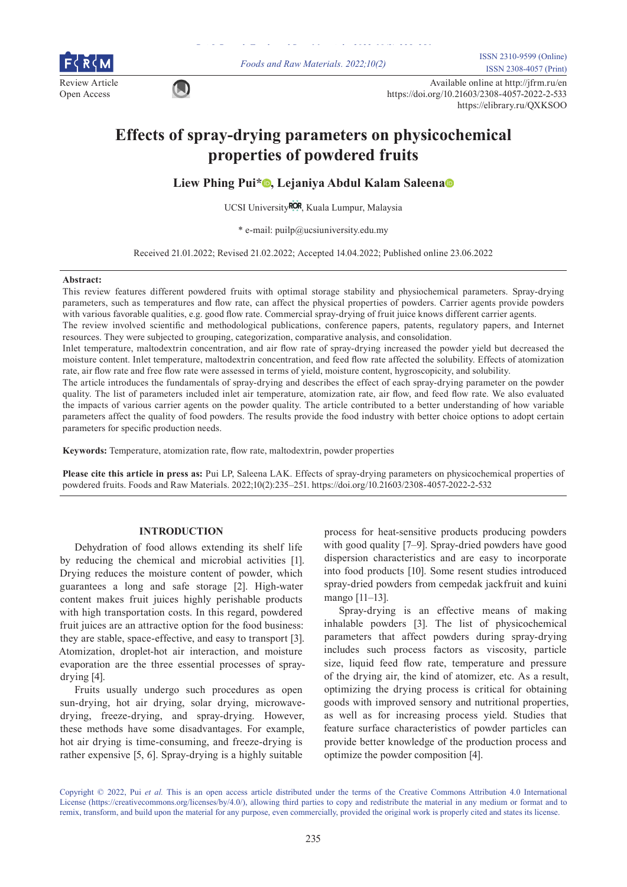

*Foods and Raw Materials. 2022;10(2)* ISSN 2310-9599 (Online) ISSN 2308-4057 (Print)

Review Article Available online at http://jfrm.ru/en<br>
Onen Aesesse Open Access https://doi.org/10.21603/2308-4057-2022-2-533 https://elibrary.ru/QXKSOO

# **Effects of spray-drying parameters on physicochemical properties of powdered fruits**

**Liew Phing Pui[\\*](https://orcid.org/0000-0001-5305-4334) , Lejaniya Abdul Kalam Saleen[a](https://orcid.org/0000-0001-7852-8073)**

UCSI Universit[y](https://ror.org/019787q29)ROR, Kuala Lumpur, Malaysia

\* e-mail: puilp@ucsiuniversity.edu.my

Received 21.01.2022; Revised 21.02.2022; Accepted 14.04.2022; Published online 23.06.2022

#### **Abstract:**

This review features different powdered fruits with optimal storage stability and physiochemical parameters. Spray-drying parameters, such as temperatures and flow rate, can affect the physical properties of powders. Carrier agents provide powders with various favorable qualities, e.g. good flow rate. Commercial spray-drying of fruit juice knows different carrier agents.

The review involved scientific and methodological publications, conference papers, patents, regulatory papers, and Internet resources. They were subjected to grouping, categorization, comparative analysis, and consolidation.

Inlet temperature, maltodextrin concentration, and air flow rate of spray-drying increased the powder yield but decreased the moisture content. Inlet temperature, maltodextrin concentration, and feed flow rate affected the solubility. Effects of atomization rate, air flow rate and free flow rate were assessed in terms of yield, moisture content, hygroscopicity, and solubility.

The article introduces the fundamentals of spray-drying and describes the effect of each spray-drying parameter on the powder quality. The list of parameters included inlet air temperature, atomization rate, air flow, and feed flow rate. We also evaluated the impacts of various carrier agents on the powder quality. The article contributed to a better understanding of how variable parameters affect the quality of food powders. The results provide the food industry with better choice options to adopt certain parameters for specific production needs.

**Keywords:** Temperature, atomization rate, flow rate, maltodextrin, powder properties

**Please cite this article in press as:** Pui LP, Saleena LAK. Effects of spray-drying parameters on physicochemical properties of powdered fruits. Foods and Raw Materials. 2022;10(2):235–251. https://doi.org/10.21603/2308-4057-2022-2-532

# **INTRODUCTION**

Dehydration of food allows extending its shelf life by reducing the chemical and microbial activities [1]. Drying reduces the moisture content of powder, which guarantees a long and safe storage [2]. High-water content makes fruit juices highly perishable products with high transportation costs. In this regard, powdered fruit juices are an attractive option for the food business: they are stable, space-effective, and easy to transport [3]. Atomization, droplet-hot air interaction, and moisture evaporation are the three essential processes of spraydrying [4].

Fruits usually undergo such procedures as open sun-drying, hot air drying, solar drying, microwavedrying, freeze-drying, and spray-drying. However, these methods have some disadvantages. For example, hot air drying is time-consuming, and freeze-drying is rather expensive [5, 6]. Spray-drying is a highly suitable

process for heat-sensitive products producing powders with good quality [7–9]. Spray-dried powders have good dispersion characteristics and are easy to incorporate into food products [10]. Some resent studies introduced spray-dried powders from cempedak jackfruit and kuini mango [11–13].

Spray-drying is an effective means of making inhalable powders [3]. The list of physicochemical parameters that affect powders during spray-drying includes such process factors as viscosity, particle size, liquid feed flow rate, temperature and pressure of the drying air, the kind of atomizer, etc. As a result, optimizing the drying process is critical for obtaining goods with improved sensory and nutritional properties, as well as for increasing process yield. Studies that feature surface characteristics of powder particles can provide better knowledge of the production process and optimize the powder composition [4].

Copyright © 2022, Pui *et al.* This is an open access article distributed under the terms of the Creative Commons Attribution 4.0 International License (https://creativecommons.org/licenses/by/4.0/), allowing third parties to copy and redistribute the material in any medium or format and to remix, transform, and build upon the material for any purpose, even commercially, provided the original work is properly cited and states its license.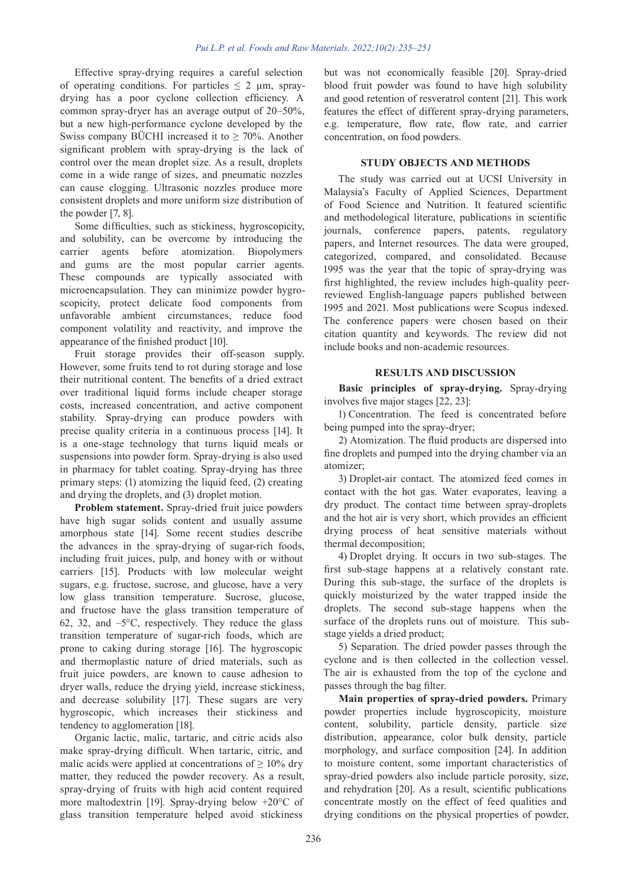Effective spray-drying requires a careful selection of operating conditions. For particles  $\leq 2$  µm, spraydrying has a poor cyclone collection efficiency. A common spray-dryer has an average output of 20–50%, but a new high-performance cyclone developed by the Swiss company BÜCHI increased it to  $\geq 70\%$ . Another significant problem with spray-drying is the lack of control over the mean droplet size. As a result, droplets come in a wide range of sizes, and pneumatic nozzles can cause clogging. Ultrasonic nozzles produce more consistent droplets and more uniform size distribution of the powder [7, 8].

Some difficulties, such as stickiness, hygroscopicity, and solubility, can be overcome by introducing the carrier agents before atomization. Biopolymers and gums are the most popular carrier agents. These compounds are typically associated with microencapsulation. They can minimize powder hygroscopicity, protect delicate food components from unfavorable ambient circumstances, reduce food component volatility and reactivity, and improve the appearance of the finished product [10].

Fruit storage provides their off-season supply. However, some fruits tend to rot during storage and lose their nutritional content. The benefits of a dried extract over traditional liquid forms include cheaper storage costs, increased concentration, and active component stability. Spray-drying can produce powders with precise quality criteria in a continuous process [14]. It is a one-stage technology that turns liquid meals or suspensions into powder form. Spray-drying is also used in pharmacy for tablet coating. Spray-drying has three primary steps: (1) atomizing the liquid feed, (2) creating and drying the droplets, and (3) droplet motion.

**Problem statement.** Spray-dried fruit juice powders have high sugar solids content and usually assume amorphous state [14]. Some recent studies describe the advances in the spray-drying of sugar-rich foods, including fruit juices, pulp, and honey with or without carriers [15]. Products with low molecular weight sugars, e.g. fructose, sucrose, and glucose, have a very low glass transition temperature. Sucrose, glucose, and fructose have the glass transition temperature of 62, 32, and  $-5^{\circ}$ C, respectively. They reduce the glass transition temperature of sugar-rich foods, which are prone to caking during storage [16]. The hygroscopic and thermoplastic nature of dried materials, such as fruit juice powders, are known to cause adhesion to dryer walls, reduce the drying yield, increase stickiness, and decrease solubility [17]. These sugars are very hygroscopic, which increases their stickiness and tendency to agglomeration [18].

Organic lactic, malic, tartaric, and citric acids also make spray-drying difficult. When tartaric, citric, and malic acids were applied at concentrations of  $\geq 10\%$  dry matter, they reduced the powder recovery. As a result, spray-drying of fruits with high acid content required more maltodextrin [19]. Spray-drying below +20°C of glass transition temperature helped avoid stickiness

but was not economically feasible [20]. Spray-dried blood fruit powder was found to have high solubility and good retention of resveratrol content [21]. This work features the effect of different spray-drying parameters, e.g. temperature, flow rate, flow rate, and carrier concentration, on food powders.

# **STUDY OBJECTS AND METHODS**

The study was carried out at UCSI University in Malaysia's Faculty of Applied Sciences, Department of Food Science and Nutrition. It featured scientific and methodological literature, publications in scientific journals, conference papers, patents, regulatory papers, and Internet resources. The data were grouped, categorized, compared, and consolidated. Because 1995 was the year that the topic of spray-drying was first highlighted, the review includes high-quality peerreviewed English-language papers published between 1995 and 2021. Most publications were Scopus indexed. The conference papers were chosen based on their citation quantity and keywords. The review did not include books and non-academic resources.

## **RESULTS AND DISCUSSION**

**Basic principles of spray-drying.** Spray-drying involves five major stages [22, 23]:

1) Concentration. The feed is concentrated before being pumped into the spray-dryer;

2) Atomization. The fluid products are dispersed into fine droplets and pumped into the drying chamber via an atomizer;

3) Droplet-air contact. The atomized feed comes in contact with the hot gas. Water evaporates, leaving a dry product. The contact time between spray-droplets and the hot air is very short, which provides an efficient drying process of heat sensitive materials without thermal decomposition;

4) Droplet drying. It occurs in two sub-stages. The first sub-stage happens at a relatively constant rate. During this sub-stage, the surface of the droplets is quickly moisturized by the water trapped inside the droplets. The second sub-stage happens when the surface of the droplets runs out of moisture. This substage yields a dried product;

5) Separation. The dried powder passes through the cyclone and is then collected in the collection vessel. The air is exhausted from the top of the cyclone and passes through the bag filter.

**Main properties of spray-dried powders.** Primary powder properties include hygroscopicity, moisture content, solubility, particle density, particle size distribution, appearance, color bulk density, particle morphology, and surface composition [24]. In addition to moisture content, some important characteristics of spray-dried powders also include particle porosity, size, and rehydration [20]. As a result, scientific publications concentrate mostly on the effect of feed qualities and drying conditions on the physical properties of powder,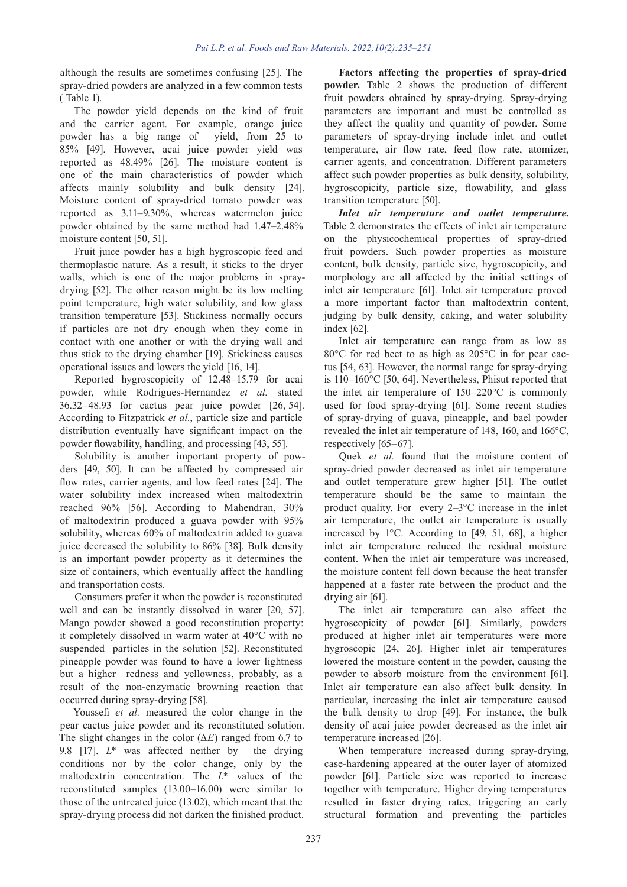although the results are sometimes confusing [25]. The spray-dried powders are analyzed in a few common tests ( Table 1).

The powder yield depends on the kind of fruit and the carrier agent. For example, orange juice powder has a big range of yield, from 25 to 85% [49]. However, acai juice powder yield was reported as 48.49% [26]. The moisture content is one of the main characteristics of powder which affects mainly solubility and bulk density [24]. Moisture content of spray-dried tomato powder was reported as 3.11–9.30%, whereas watermelon juice powder obtained by the same method had 1.47–2.48% moisture content [50, 51].

Fruit juice powder has a high hygroscopic feed and thermoplastic nature. As a result, it sticks to the dryer walls, which is one of the major problems in spraydrying [52]. The other reason might be its low melting point temperature, high water solubility, and low glass transition temperature [53]. Stickiness normally occurs if particles are not dry enough when they come in contact with one another or with the drying wall and thus stick to the drying chamber [19]. Stickiness causes operational issues and lowers the yield [16, 14].

Reported hygroscopicity of 12.48–15.79 for acai powder, while Rodrigues-Hernandez *et al.* stated 36.32–48.93 for cactus pear juice powder [26, 54]. According to Fitzpatrick *et al.*, particle size and particle distribution eventually have significant impact on the powder flowability, handling, and processing [43, 55].

Solubility is another important property of powders [49, 50]. It can be affected by compressed air flow rates, carrier agents, and low feed rates [24]. The water solubility index increased when maltodextrin reached 96% [56]. According to Mahendran, 30% of maltodextrin produced a guava powder with 95% solubility, whereas 60% of maltodextrin added to guava juice decreased the solubility to 86% [38]. Bulk density is an important powder property as it determines the size of containers, which eventually affect the handling and transportation costs.

Consumers prefer it when the powder is reconstituted well and can be instantly dissolved in water [20, 57]. Mango powder showed a good reconstitution property: it completely dissolved in warm water at 40°C with no suspended particles in the solution [52]. Reconstituted pineapple powder was found to have a lower lightness but a higher redness and yellowness, probably, as a result of the non-enzymatic browning reaction that occurred during spray-drying [58].

Youssefi *et al.* measured the color change in the pear cactus juice powder and its reconstituted solution. The slight changes in the color (∆*E*) ranged from 6.7 to 9.8 [17]. *L*\* was affected neither by the drying conditions nor by the color change, only by the maltodextrin concentration. The *L*\* values of the reconstituted samples (13.00–16.00) were similar to those of the untreated juice (13.02), which meant that the spray-drying process did not darken the finished product.

**Factors affecting the properties of spray-dried powder.** Table 2 shows the production of different fruit powders obtained by spray-drying. Spray-drying parameters are important and must be controlled as they affect the quality and quantity of powder. Some parameters of spray-drying include inlet and outlet temperature, air flow rate, feed flow rate, atomizer, carrier agents, and concentration. Different parameters affect such powder properties as bulk density, solubility, hygroscopicity, particle size, flowability, and glass transition temperature [50].

*Inlet air temperature and outlet temperature.* Table 2 demonstrates the effects of inlet air temperature on the physicochemical properties of spray-dried fruit powders. Such powder properties as moisture content, bulk density, particle size, hygroscopicity, and morphology are all affected by the initial settings of inlet air temperature [61]. Inlet air temperature proved a more important factor than maltodextrin content, judging by bulk density, caking, and water solubility index [62].

Inlet air temperature can range from as low as 80°C for red beet to as high as 205°C in for pear cactus [54, 63]. However, the normal range for spray-drying is 110–160°C [50, 64]. Nevertheless, Phisut reported that the inlet air temperature of 150–220°C is commonly used for food spray-drying [61]. Some recent studies of spray-drying of guava, pineapple, and bael powder revealed the inlet air temperature of 148, 160, and 166°C, respectively [65–67].

Quek *et al.* found that the moisture content of spray-dried powder decreased as inlet air temperature and outlet temperature grew higher [51]. The outlet temperature should be the same to maintain the product quality. For every 2–3°C increase in the inlet air temperature, the outlet air temperature is usually increased by 1°C. According to [49, 51, 68], a higher inlet air temperature reduced the residual moisture content. When the inlet air temperature was increased, the moisture content fell down because the heat transfer happened at a faster rate between the product and the drying air [61].

The inlet air temperature can also affect the hygroscopicity of powder [61]. Similarly, powders produced at higher inlet air temperatures were more hygroscopic [24, 26]. Higher inlet air temperatures lowered the moisture content in the powder, causing the powder to absorb moisture from the environment [61]. Inlet air temperature can also affect bulk density. In particular, increasing the inlet air temperature caused the bulk density to drop [49]. For instance, the bulk density of acai juice powder decreased as the inlet air temperature increased [26].

When temperature increased during spray-drying, case-hardening appeared at the outer layer of atomized powder [61]. Particle size was reported to increase together with temperature. Higher drying temperatures resulted in faster drying rates, triggering an early structural formation and preventing the particles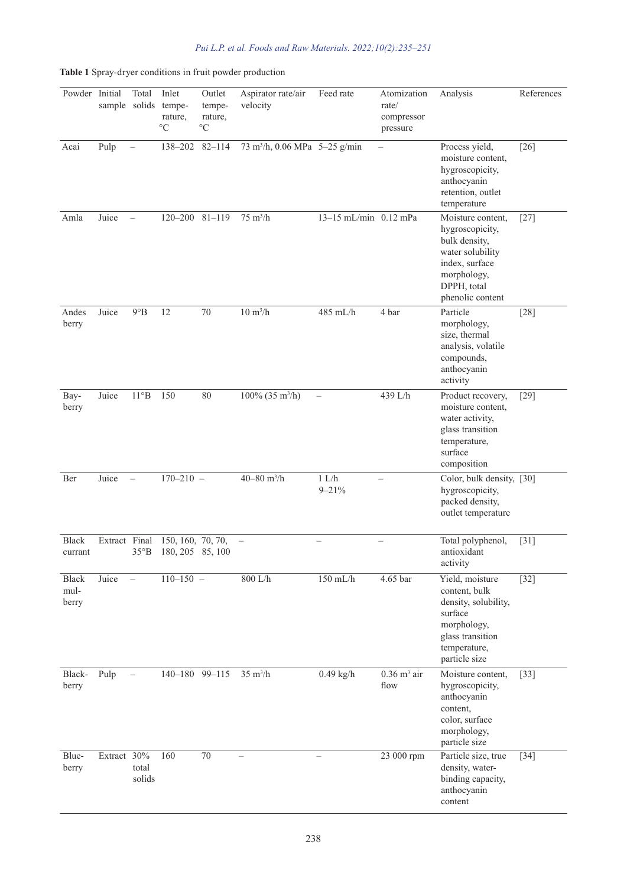|  |  |  | Pui L.P. et al. Foods and Raw Materials. $2022; 10(2):235-251$ |  |
|--|--|--|----------------------------------------------------------------|--|
|  |  |  |                                                                |  |

Powder Initial Total sample solids Inlet temperature, °C Outlet temperature, °C Aspirator rate/air velocity Feed rate Atomization rate/ compressor pressure Analysis References Acai Pulp – 138–202 82–114  $73 \text{ m}^3/\text{h}$ , 0.06 MPa  $5-25 \text{ g/min}$  – Process yield, moisture content, hygroscopicity, anthocyanin retention, outlet temperature [26] Amla Juice – 120–200 81–119 75 m<sup>3</sup>/h 13–15 mL/min 0.12 mPa Moisture content, hygroscopicity, bulk density, water solubility index, surface morphology,  $DPPH$ , total phenolic content [27] Andes berry Juice  $9^{\circ}B$  12 70 10 m<sup>3</sup>/h  $485 \text{ mL/h}$  4 bar Particle morphology, size, thermal analysis, volatile compounds, anthocyanin activity [28] Bayberry Juice 11°B 150 80 100% (35 m<sup>3</sup>/h) 439 L/h Product recovery, moisture content, water activity, glass transition temperature, surface composition [29] Ber Juice –  $170-210 - 40-80$  m<sup>3</sup>/h  $1 L/h$ 9–21% – Color, bulk density, [30] hygroscopicity, packed density, outlet temperature Black currant Extract Final 35°B 150, 160, 70, 70, 180, 205 85, 100 Total polyphenol, antioxidant activity [31] Black mulberry Juice – 110–150 – 800 L/h 150 mL/h 4.65 bar Yield, moisture content, bulk density, solubility, surface morphology, glass transition temperature, particle size [32] Blackberry Pulp –  $140-180$  99-115 35 m<sup>3</sup>/h  $0.49$  kg/h  $0.36$  m<sup>3</sup> air flow Moisture content, hygroscopicity, anthocyanin content, color, surface morphology, particle size [33] Blueberry Extract 30% total solids 160 70 – – 23 000 rpm Particle size, true density, waterbinding capacity, anthocyanin content [34]

**Table 1** Spray-dryer conditions in fruit powder production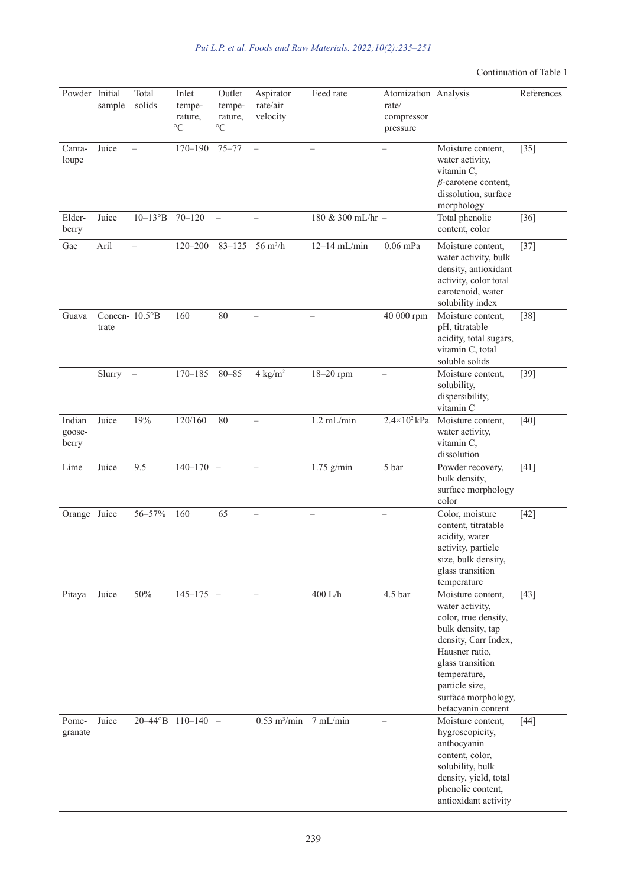# Continuation of Table 1

| Powder Initial            | sample                  | Total<br>solids          | Inlet<br>tempe-<br>rature,<br>$\rm ^{\circ}C$ | Outlet<br>tempe-<br>rature,<br>$\rm ^{\circ}C$ | Aspirator<br>rate/air<br>velocity      | Feed rate         | Atomization Analysis<br>rate/<br>compressor<br>pressure |                                                                                                                                                                                                                                | References |
|---------------------------|-------------------------|--------------------------|-----------------------------------------------|------------------------------------------------|----------------------------------------|-------------------|---------------------------------------------------------|--------------------------------------------------------------------------------------------------------------------------------------------------------------------------------------------------------------------------------|------------|
| Canta-<br>loupe           | Juice                   |                          | $170 - 190$                                   | $75 - 77$                                      | $\overline{\phantom{0}}$               |                   |                                                         | Moisture content,<br>water activity,<br>vitamin C,<br>$\beta$ -carotene content,<br>dissolution, surface<br>morphology                                                                                                         | $[35]$     |
| Elder-<br>berry           | Juice                   | $10-13^{\circ} \text{B}$ | $70 - 120$                                    | $\overline{\phantom{0}}$                       |                                        | 180 & 300 mL/hr - |                                                         | Total phenolic<br>content, color                                                                                                                                                                                               | $[36]$     |
| Gac                       | Aril                    |                          | $120 - 200$                                   | $83 - 125$                                     | 56 $m^3/h$                             | $12-14$ mL/min    | $0.06$ mPa                                              | Moisture content,<br>water activity, bulk<br>density, antioxidant<br>activity, color total<br>carotenoid, water<br>solubility index                                                                                            | $[37]$     |
| Guava                     | Concen- 10.5°B<br>trate |                          | 160                                           | 80                                             |                                        |                   | 40 000 rpm                                              | Moisture content,<br>pH, titratable<br>acidity, total sugars,<br>vitamin C, total<br>soluble solids                                                                                                                            | $[38]$     |
|                           | $Slurry -$              |                          | $170 - 185$                                   | $80 - 85$                                      | $4 \text{ kg/m}^2$                     | 18-20 rpm         |                                                         | Moisture content,<br>solubility,<br>dispersibility,<br>vitamin C                                                                                                                                                               | $[39]$     |
| Indian<br>goose-<br>berry | Juice                   | 19%                      | 120/160                                       | 80                                             |                                        | $1.2$ mL/min      | $2.4 \times 10^2$ kPa                                   | Moisture content,<br>water activity,<br>vitamin C,<br>dissolution                                                                                                                                                              | $[40]$     |
| Lime                      | Juice                   | 9.5                      | $140 - 170 -$                                 |                                                |                                        | $1.75$ g/min      | 5 bar                                                   | Powder recovery,<br>bulk density,<br>surface morphology<br>color                                                                                                                                                               | [41]       |
| Orange Juice              |                         | 56-57%                   | 160                                           | 65                                             |                                        |                   |                                                         | Color, moisture<br>content, titratable<br>acidity, water<br>activity, particle<br>size, bulk density,<br>glass transition<br>temperature                                                                                       | $[42]$     |
| Pitaya                    | Juice                   | 50%                      | $145 - 175 -$                                 |                                                |                                        | $400$ L/h         | 4.5 bar                                                 | Moisture content,<br>water activity,<br>color, true density,<br>bulk density, tap<br>density, Carr Index,<br>Hausner ratio,<br>glass transition<br>temperature,<br>particle size,<br>surface morphology,<br>betacyanin content | $[43]$     |
| Pome-<br>granate          | Juice                   |                          | $20-44^{\circ}B$ 110-140 -                    |                                                | $0.53 \text{ m}^3/\text{min}$ 7 mL/min |                   |                                                         | Moisture content,<br>hygroscopicity,<br>anthocyanin<br>content, color,<br>solubility, bulk<br>density, yield, total<br>phenolic content,<br>antioxidant activity                                                               | $[44]$     |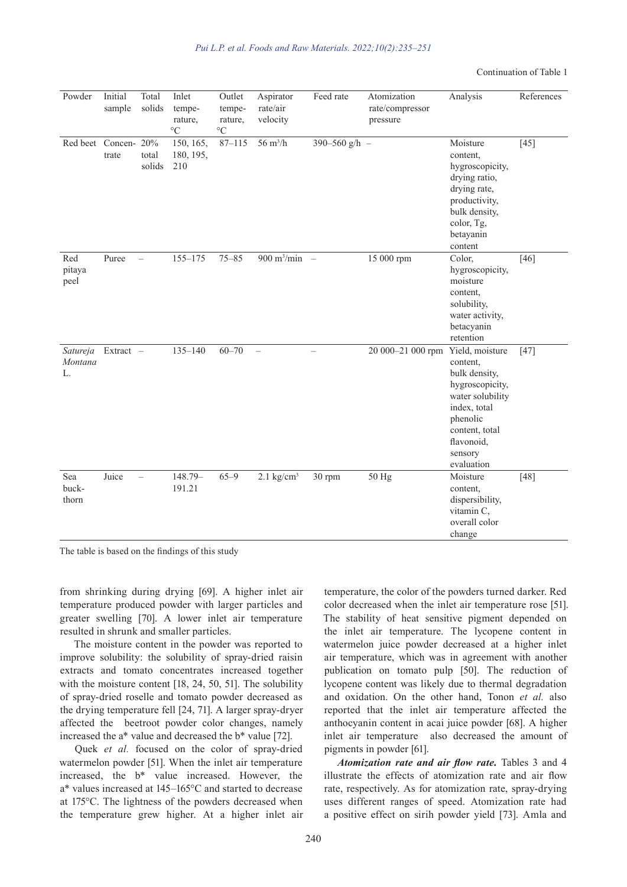Continuation of Table 1

| Powder                    | Initial<br>sample    | Total<br>solids          | Inlet<br>tempe-<br>rature,<br>$\circ$ C | Outlet<br>tempe-<br>rature,<br>$\circ$ C | Aspirator<br>rate/air<br>velocity | Feed rate                       | Atomization<br>rate/compressor<br>pressure | Analysis                                                                                                                                                                 | References |
|---------------------------|----------------------|--------------------------|-----------------------------------------|------------------------------------------|-----------------------------------|---------------------------------|--------------------------------------------|--------------------------------------------------------------------------------------------------------------------------------------------------------------------------|------------|
| Red beet                  | Concen- 20%<br>trate | total<br>solids          | 150, 165,<br>180, 195,<br>210           | $87 - 115$                               | $56 \text{ m}^3/h$                | 390-560 g/h -                   |                                            | Moisture<br>content,<br>hygroscopicity,<br>drying ratio,<br>drying rate,<br>productivity,<br>bulk density,<br>color, Tg,<br>betayanin<br>content                         | $[45]$     |
| Red<br>pitaya<br>peel     | Puree                | $\qquad \qquad -$        | 155-175                                 | $75 - 85$                                | $900 \text{ m}^3/\text{min}$      | $\hspace{0.1mm}-\hspace{0.1mm}$ | 15 000 rpm                                 | Color,<br>hygroscopicity,<br>moisture<br>content.<br>solubility,<br>water activity,<br>betacyanin<br>retention                                                           | $[46]$     |
| Satureja<br>Montana<br>L. | Extract -            |                          | $135 - 140$                             | $60 - 70$                                | $\overline{\phantom{0}}$          | $\overline{\phantom{0}}$        | 20 000-21 000 rpm                          | Yield, moisture<br>content,<br>bulk density,<br>hygroscopicity,<br>water solubility<br>index, total<br>phenolic<br>content, total<br>flavonoid,<br>sensory<br>evaluation | $[47]$     |
| Sea<br>buck-<br>thorn     | Juice                | $\overline{\phantom{0}}$ | 148.79-<br>191.21                       | $65 - 9$                                 | $2.1$ kg/cm <sup>3</sup>          | 30 rpm                          | 50 Hg                                      | Moisture<br>content,<br>dispersibility,<br>vitamin C,<br>overall color<br>change                                                                                         | $[48]$     |

The table is based on the findings of this study

from shrinking during drying [69]. A higher inlet air temperature produced powder with larger particles and greater swelling [70]. A lower inlet air temperature resulted in shrunk and smaller particles.

The moisture content in the powder was reported to improve solubility: the solubility of spray-dried raisin extracts and tomato concentrates increased together with the moisture content [18, 24, 50, 51]. The solubility of spray-dried roselle and tomato powder decreased as the drying temperature fell [24, 71]. A larger spray-dryer affected the beetroot powder color changes, namely increased the a\* value and decreased the b\* value [72].

Quek *et al.* focused on the color of spray-dried watermelon powder [51]. When the inlet air temperature increased, the b\* value increased. However, the a\* values increased at 145–165°C and started to decrease at 175°C. The lightness of the powders decreased when the temperature grew higher. At a higher inlet air temperature, the color of the powders turned darker. Red color decreased when the inlet air temperature rose [51]. The stability of heat sensitive pigment depended on the inlet air temperature. The lycopene content in watermelon juice powder decreased at a higher inlet air temperature, which was in agreement with another publication on tomato pulp [50]. The reduction of lycopene content was likely due to thermal degradation and oxidation. On the other hand, Tonon *et al.* also reported that the inlet air temperature affected the anthocyanin content in acai juice powder [68]. A higher inlet air temperature also decreased the amount of pigments in powder [61].

*Atomization rate and air flow rate.* Tables 3 and 4 illustrate the effects of atomization rate and air flow rate, respectively. As for atomization rate, spray-drying uses different ranges of speed. Atomization rate had a positive effect on sirih powder yield [73]. Amla and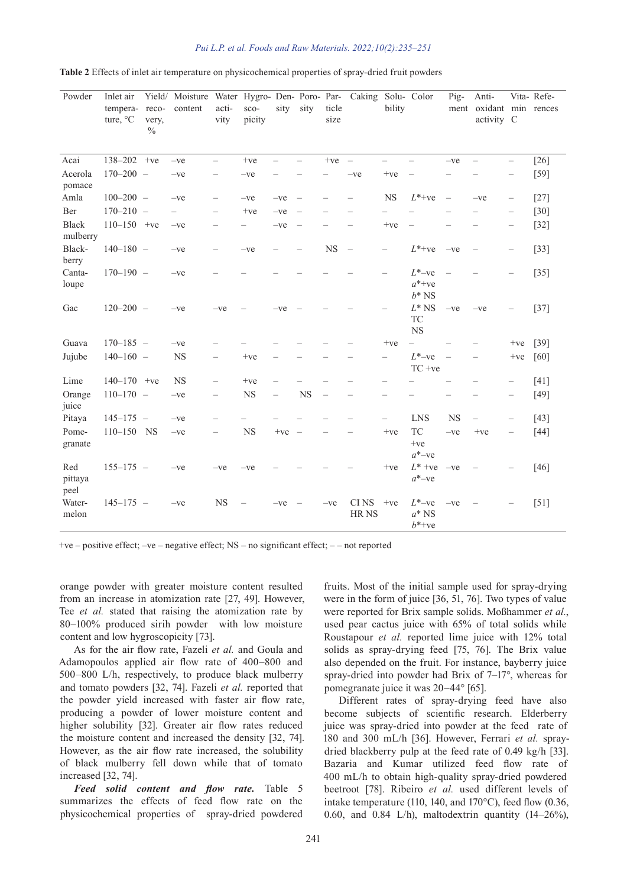| Powder                   | Inlet air<br>tempera-<br>ture, $\mathrm{C}^{\circ}$ | reco-<br>very,<br>$\%$ | Yield/ Moisture Water Hygro- Den- Poro- Par- Caking Solu- Color<br>content | acti-<br>vity            | sco-<br>picity | sity                     | sity                     | ticle<br>size            |                          | bility                   |                                                  | Pig-                     | Anti-<br>ment oxidant min rences<br>activity C |                          | Vita-Refe- |
|--------------------------|-----------------------------------------------------|------------------------|----------------------------------------------------------------------------|--------------------------|----------------|--------------------------|--------------------------|--------------------------|--------------------------|--------------------------|--------------------------------------------------|--------------------------|------------------------------------------------|--------------------------|------------|
| Acai                     | $138 - 202 +ve$                                     |                        | $-ve$                                                                      | $\overline{\phantom{0}}$ | $+ve$          | $\overline{\phantom{0}}$ | $\overline{\phantom{0}}$ | $+ve$                    | $\overline{\phantom{a}}$ | $\equiv$                 |                                                  | $-ve$                    | $\overline{\phantom{0}}$                       | $\overline{\phantom{0}}$ | $[26]$     |
| Acerola<br>pomace        | $170 - 200 -$                                       |                        | $-ve$                                                                      | $\overline{\phantom{0}}$ | $-ve$          |                          |                          |                          | $-ve$                    | $+ve$                    |                                                  |                          |                                                | $\overline{\phantom{0}}$ | $[59]$     |
| Amla                     | $100 - 200 -$                                       |                        | $-ve$                                                                      |                          | $-ve$          | $-ve$                    | $\overline{\phantom{a}}$ |                          |                          | NS                       | $L^*$ +ve                                        | $\qquad \qquad -$        | $-ve$                                          | $\overline{\phantom{0}}$ | $[27]$     |
| Ber                      | $170 - 210 -$                                       |                        |                                                                            |                          | $+v$ e         | $-ve$                    |                          |                          |                          |                          |                                                  |                          |                                                | $\overline{\phantom{0}}$ | $[30]$     |
| <b>Black</b><br>mulberry | $110 - 150$ +ve                                     |                        | $-ve$                                                                      |                          |                | $-ve$                    | $\qquad \qquad -$        |                          |                          | $+ve$                    |                                                  |                          |                                                | $\qquad \qquad -$        | $[32]$     |
| Black-<br>berry          | $140 - 180 -$                                       |                        | $-ve$                                                                      |                          | $-ve$          |                          |                          | NS                       | $\overline{\phantom{0}}$ | $\overline{\phantom{0}}$ | $L^*$ +ve                                        | $-ve$                    |                                                | -                        | $[33]$     |
| Canta-<br>loupe          | $170 - 190 -$                                       |                        | $-ve$                                                                      |                          |                |                          |                          |                          |                          | $\overline{\phantom{0}}$ | $L^*$ -ve<br>$a^*$ +ve<br>$b^*$ NS               |                          |                                                | $\overline{\phantom{0}}$ | $[35]$     |
| Gac                      | $120 - 200 -$                                       |                        | $-ve$                                                                      | $-ve$                    |                | $-ve$                    |                          |                          |                          |                          | $L^*\operatorname{NS}$<br><b>TC</b><br><b>NS</b> | $-ve$                    | $-ve$                                          |                          | $[37]$     |
| Guava                    | $170 - 185 -$                                       |                        | $-ve$                                                                      |                          |                |                          |                          |                          |                          | $+ve$                    | $\qquad \qquad -$                                |                          |                                                | $+ve$                    | $[39]$     |
| Jujube                   | $140 - 160 -$                                       |                        | <b>NS</b>                                                                  |                          | $+ve$          |                          |                          |                          |                          | $\overline{\phantom{0}}$ | $L^*$ -ve<br>$TC + ve$                           | $\overline{\phantom{a}}$ |                                                | $+ve$                    | [60]       |
| Lime                     | $140 - 170$ +ve                                     |                        | <b>NS</b>                                                                  | $\overline{\phantom{0}}$ | $+ve$          | $\overline{\phantom{0}}$ |                          |                          |                          | $\overline{\phantom{0}}$ |                                                  |                          |                                                | $\overline{\phantom{0}}$ | [41]       |
| Orange<br>juice          | $110 - 170 -$                                       |                        | $-ve$                                                                      | $\qquad \qquad -$        | NS             | $\overline{\phantom{0}}$ | NS                       | $\overline{\phantom{0}}$ |                          | -                        |                                                  |                          |                                                | $\qquad \qquad -$        | $[49]$     |
| Pitaya                   | $145 - 175 -$                                       |                        | $-ve$                                                                      |                          |                |                          |                          |                          |                          | -                        | <b>LNS</b>                                       | <b>NS</b>                | $\overline{\phantom{0}}$                       | $\overline{\phantom{0}}$ | $[43]$     |
| Pome-<br>granate         | 110-150 NS                                          |                        | $-ve$                                                                      |                          | NS             | $+ve$                    | $\overline{\phantom{m}}$ |                          |                          | $+ve$                    | <b>TC</b><br>$+ve$<br>$a^*$ -ve                  | $-ve$                    | $+ve$                                          | $\qquad \qquad -$        | $[44]$     |
| Red<br>pittaya<br>peel   | $155 - 175 -$                                       |                        | $-ve$                                                                      | $-ve$                    | $-ve$          |                          |                          |                          |                          | $+{\rm ve}$              | $L^*$ +ve<br>$a^*$ -ve                           | $-ve$                    |                                                |                          | $[46]$     |
| Water-<br>melon          | $145 - 175 -$                                       |                        | $-ve$                                                                      | $_{\rm NS}$              |                | $-ve$                    |                          | $-ve$                    | CI NS<br>HR NS           | $+v_{e}$                 | $L^*$ -ve<br>$a^*$ NS<br>$b^*$ +ve               | $-ve$                    |                                                |                          | $[51]$     |

| Table 2 Effects of inlet air temperature on physicochemical properties of spray-dried fruit powders |  |  |  |
|-----------------------------------------------------------------------------------------------------|--|--|--|
|-----------------------------------------------------------------------------------------------------|--|--|--|

+ve – positive effect; –ve – negative effect; NS – no significant effect; – – not reported

orange powder with greater moisture content resulted from an increase in atomization rate [27, 49]. However, Tee *et al.* stated that raising the atomization rate by 80–100% produced sirih powder with low moisture content and low hygroscopicity [73].

As for the air flow rate, Fazeli *et al.* and Goula and Adamopoulos applied air flow rate of 400–800 and 500–800 L/h, respectively, to produce black mulberry and tomato powders [32, 74]. Fazeli *et al.* reported that the powder yield increased with faster air flow rate, producing a powder of lower moisture content and higher solubility [32]. Greater air flow rates reduced the moisture content and increased the density [32, 74]. However, as the air flow rate increased, the solubility of black mulberry fell down while that of tomato increased [32, 74].

*Feed solid content and flow rate.* Table 5 summarizes the effects of feed flow rate on the physicochemical properties of spray-dried powdered fruits. Most of the initial sample used for spray-drying were in the form of juice [36, 51, 76]. Two types of value were reported for Brix sample solids. Moßhammer *et al.*, used pear cactus juice with 65% of total solids while Roustapour *et al.* reported lime juice with 12% total solids as spray-drying feed [75, 76]. The Brix value also depended on the fruit. For instance, bayberry juice spray-dried into powder had Brix of 7–17°, whereas for pomegranate juice it was 20–44° [65].

Different rates of spray-drying feed have also become subjects of scientific research. Elderberry juice was spray-dried into powder at the feed rate of 180 and 300 mL/h [36]. However, Ferrari *et al.* spraydried blackberry pulp at the feed rate of 0.49 kg/h [33]. Bazaria and Kumar utilized feed flow rate of 400 mL/h to obtain high-quality spray-dried powdered beetroot [78]. Ribeiro *et al.* used different levels of intake temperature (110, 140, and 170°C), feed flow (0.36, 0.60, and 0.84 L/h), maltodextrin quantity  $(14–26\%)$ ,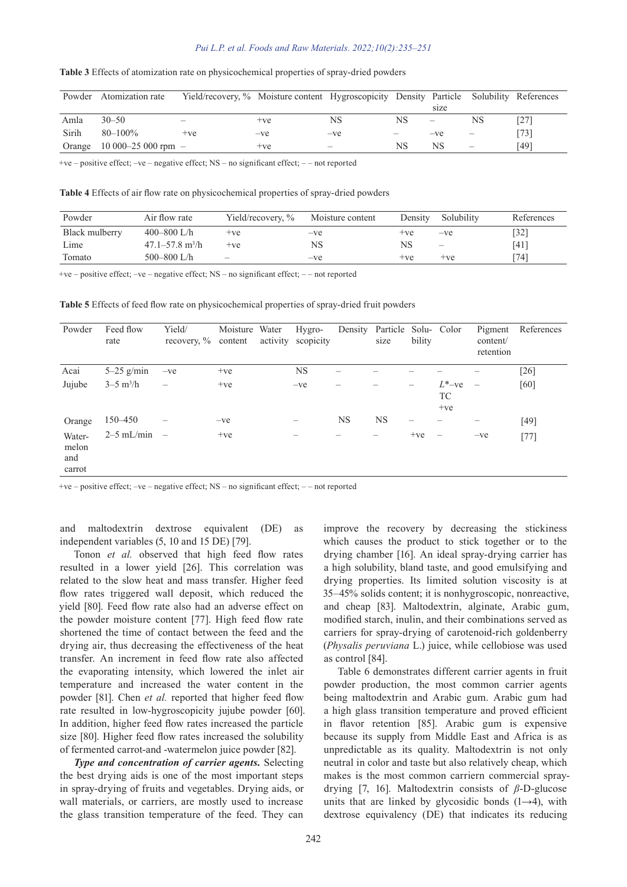|        | Powder Atomization rate | Yield/recovery, % Moisture content Hygroscopicity Density Particle Solubility References |       |                 |    |                          |                          |        |
|--------|-------------------------|------------------------------------------------------------------------------------------|-------|-----------------|----|--------------------------|--------------------------|--------|
|        |                         |                                                                                          |       |                 |    | size                     |                          |        |
| Amla   | $30 - 50$               | -                                                                                        | $+ve$ | NS              | NS | $\overline{\phantom{m}}$ | NS                       | (27)   |
| Sirih  | $80 - 100\%$            | $+ve$                                                                                    | $-ve$ | $-ve$           | -  | $-ve$                    | -                        | $[73]$ |
| Orange | $10000 - 25000$ rpm $-$ |                                                                                          | $+ve$ | $\qquad \qquad$ | NS | NS                       | $\overline{\phantom{m}}$ | [49]   |

#### **Table 3** Effects of atomization rate on physicochemical properties of spray-dried powders

+ve – positive effect; –ve – negative effect; NS – no significant effect; – – not reported

**Table 4** Effects of air flow rate on physicochemical properties of spray-dried powders

| Powder         | Air flow rate                   | Yield/recovery, %        | Moisture content | Density | Solubility               | References         |
|----------------|---------------------------------|--------------------------|------------------|---------|--------------------------|--------------------|
| Black mulberry | 400–800 L/h                     | $+ve$                    | $-ve$            | $+ve$   | $-ve$                    | $\lceil 32 \rceil$ |
| Lime           | $47.1 - 57.8$ m <sup>3</sup> /h | $+ve$                    | NS               | NS      | $\overline{\phantom{m}}$ | [41]               |
| Tomato         | 500 $-800$ L/h                  | $\overline{\phantom{m}}$ | $-ve$            | $+ve$   | $+ve$                    | [74]               |

+ve – positive effect; –ve – negative effect; NS – no significant effect; – – not reported

**Table 5** Effects of feed flow rate on physicochemical properties of spray-dried fruit powders

| Powder                           | Feed flow<br>rate         | Yield/<br>recovery, $\%$ content | Moisture Water | activity | Hygro-<br>scopicity |           | Density Particle Solu- Color<br>size | bility |                                 | Pigment<br>content/<br>retention | References         |
|----------------------------------|---------------------------|----------------------------------|----------------|----------|---------------------|-----------|--------------------------------------|--------|---------------------------------|----------------------------------|--------------------|
| Acai                             | $5-25$ g/min              | $-ve$                            | $+ve$          |          | <b>NS</b>           |           |                                      |        |                                 |                                  | $\lceil 26 \rceil$ |
| Jujube                           | $3 - 5$ m <sup>3</sup> /h | $\overline{\phantom{0}}$         | $+ve$          |          | $-ve$               |           |                                      | -      | $L^*$ -ve<br><b>TC</b><br>$+ve$ | $\overline{\phantom{0}}$         | [60]               |
| Orange                           | 150–450                   |                                  | $-ve$          |          |                     | <b>NS</b> | <b>NS</b>                            |        |                                 |                                  | $[49]$             |
| Water-<br>melon<br>and<br>carrot | $2-5$ mL/min              | $\overline{\phantom{0}}$         | $+ve$          |          |                     |           | -                                    | $+ve$  |                                 | $-ve$                            | $[77]$             |

+ve – positive effect; –ve – negative effect; NS – no significant effect; – – not reported

and maltodextrin dextrose equivalent (DE) as independent variables (5, 10 and 15 DE) [79].

Tonon *et al.* observed that high feed flow rates resulted in a lower yield [26]. This correlation was related to the slow heat and mass transfer. Higher feed flow rates triggered wall deposit, which reduced the yield [80]. Feed flow rate also had an adverse effect on the powder moisture content [77]. High feed flow rate shortened the time of contact between the feed and the drying air, thus decreasing the effectiveness of the heat transfer. An increment in feed flow rate also affected the evaporating intensity, which lowered the inlet air temperature and increased the water content in the powder [81]. Chen *et al.* reported that higher feed flow rate resulted in low-hygroscopicity jujube powder [60]. In addition, higher feed flow rates increased the particle size [80]. Higher feed flow rates increased the solubility of fermented carrot-and -watermelon juice powder [82].

*Type and concentration of carrier agents.* Selecting the best drying aids is one of the most important steps in spray-drying of fruits and vegetables. Drying aids, or wall materials, or carriers, are mostly used to increase the glass transition temperature of the feed. They can

improve the recovery by decreasing the stickiness which causes the product to stick together or to the drying chamber [16]. An ideal spray-drying carrier has a high solubility, bland taste, and good emulsifying and drying properties. Its limited solution viscosity is at 35–45% solids content; it is nonhygroscopic, nonreactive, and cheap [83]. Maltodextrin, alginate, Arabic gum, modified starch, inulin, and their combinations served as carriers for spray-drying of carotenoid-rich goldenberry (*Physalis peruviana* L.) juice, while cellobiose was used as control [84].

Table 6 demonstrates different carrier agents in fruit powder production, the most common carrier agents being maltodextrin and Arabic gum. Arabic gum had a high glass transition temperature and proved efficient in flavor retention [85]. Arabic gum is expensive because its supply from Middle East and Africa is as unpredictable as its quality. Maltodextrin is not only neutral in color and taste but also relatively cheap, which makes is the most common carriern commercial spraydrying [7, 16]. Maltodextrin consists of *β*-D-glucose units that are linked by glycosidic bonds  $(1\rightarrow 4)$ , with dextrose equivalency (DE) that indicates its reducing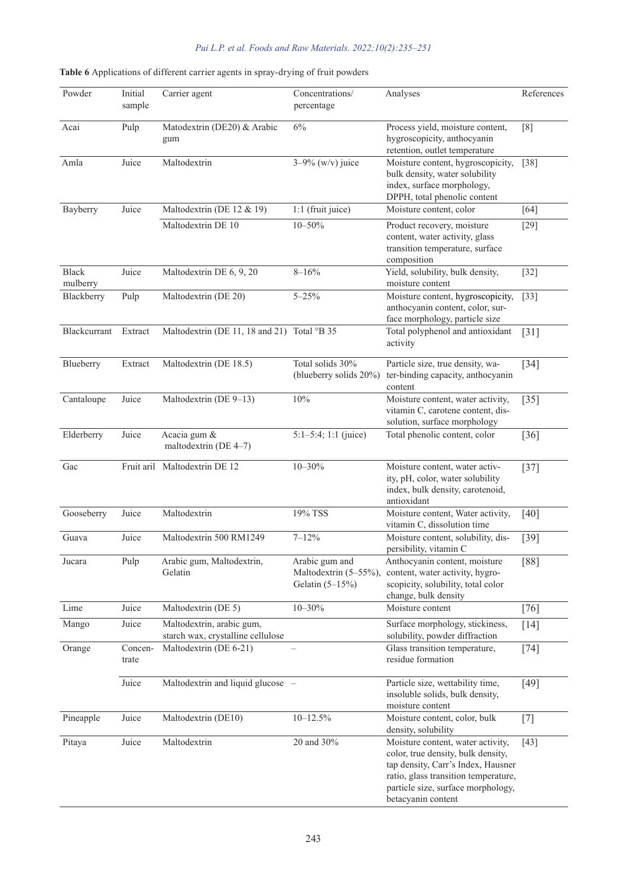| Powder                   | Initial<br>sample | Carrier agent                                                  | Concentrations/<br>percentage                                | Analyses                                                                                                                                                                                                          | References |
|--------------------------|-------------------|----------------------------------------------------------------|--------------------------------------------------------------|-------------------------------------------------------------------------------------------------------------------------------------------------------------------------------------------------------------------|------------|
| Acai                     | Pulp              | Matodextrin (DE20) & Arabic<br>gum                             | 6%                                                           | Process yield, moisture content,<br>hygroscopicity, anthocyanin<br>retention, outlet temperature                                                                                                                  | [8]        |
| Amla                     | Juice             | Maltodextrin                                                   | $3 - 9\%$ (w/v) juice                                        | Moisture content, hygroscopicity,<br>bulk density, water solubility<br>index, surface morphology,<br>DPPH, total phenolic content                                                                                 | $[38]$     |
| Bayberry                 | Juice             | Maltodextrin (DE 12 & 19)                                      | 1:1 (fruit juice)                                            | Moisture content, color                                                                                                                                                                                           | [64]       |
|                          |                   | Maltodextrin DE 10                                             | $10 - 50%$                                                   | Product recovery, moisture<br>content, water activity, glass<br>transition temperature, surface<br>composition                                                                                                    | $[29]$     |
| <b>Black</b><br>mulberry | Juice             | Maltodextrin DE 6, 9, 20                                       | $8 - 16%$                                                    | Yield, solubility, bulk density,<br>moisture content                                                                                                                                                              | $[32]$     |
| Blackberry               | Pulp              | Maltodextrin (DE 20)                                           | $5 - 25\%$                                                   | Moisture content, hygroscopicity,<br>anthocyanin content, color, sur-<br>face morphology, particle size                                                                                                           | $[33]$     |
| <b>Blackcurrant</b>      | Extract           | Maltodextrin (DE 11, 18 and 21) Total °B 35                    |                                                              | Total polyphenol and antioxidant<br>activity                                                                                                                                                                      | $[31]$     |
| Blueberry                | Extract           | Maltodextrin (DE 18.5)                                         | Total solids 30%<br>(blueberry solids 20%)                   | Particle size, true density, wa-<br>ter-binding capacity, anthocyanin<br>content                                                                                                                                  | $[34]$     |
| Cantaloupe               | Juice             | Maltodextrin (DE 9-13)                                         | $10\%$                                                       | Moisture content, water activity,<br>vitamin C, carotene content, dis-<br>solution, surface morphology                                                                                                            | $[35]$     |
| Elderberry               | Juice             | Acacia gum &<br>maltodextrin (DE 4-7)                          | $5:1-5:4; 1:1$ (juice)                                       | Total phenolic content, color                                                                                                                                                                                     | $[36]$     |
| Gac                      |                   | Fruit aril Maltodextrin DE 12                                  | $10 - 30%$                                                   | Moisture content, water activ-<br>ity, pH, color, water solubility<br>index, bulk density, carotenoid,<br>antioxidant                                                                                             | $[37]$     |
| Gooseberry               | Juice             | Maltodextrin                                                   | 19% TSS                                                      | Moisture content, Water activity,<br>vitamin C, dissolution time                                                                                                                                                  | [40]       |
| Guava                    | Juice             | Maltodextrin 500 RM1249                                        | $7 - 12%$                                                    | Moisture content, solubility, dis-<br>persibility, vitamin C                                                                                                                                                      | $[39]$     |
| Jucara                   | Pulp              | Arabic gum, Maltodextrin,<br>Gelatin                           | Arabic gum and<br>Maltodextrin (5-55%),<br>Gelatin $(5-15%)$ | Anthocyanin content, moisture<br>content, water activity, hygro-<br>scopicity, solubility, total color<br>change, bulk density                                                                                    | $[88]$     |
| Lime                     | Juice             | Maltodextrin (DE 5)                                            | $10 - 30%$                                                   | Moisture content                                                                                                                                                                                                  | [76]       |
| Mango                    | Juice             | Maltodextrin, arabic gum,<br>starch wax, crystalline cellulose |                                                              | Surface morphology, stickiness,<br>solubility, powder diffraction                                                                                                                                                 | [14]       |
| Orange                   | Concen-<br>trate  | Maltodextrin (DE 6-21)                                         |                                                              | Glass transition temperature,<br>residue formation                                                                                                                                                                | $[74]$     |
|                          | Juice             | Maltodextrin and liquid glucose -                              |                                                              | Particle size, wettability time,<br>insoluble solids, bulk density,<br>moisture content                                                                                                                           | $[49]$     |
| Pineapple                | Juice             | Maltodextrin (DE10)                                            | $10 - 12.5\%$                                                | Moisture content, color, bulk<br>density, solubility                                                                                                                                                              | $[7]$      |
| Pitaya                   | Juice             | Maltodextrin                                                   | 20 and 30%                                                   | Moisture content, water activity,<br>color, true density, bulk density,<br>tap density, Carr's Index, Hausner<br>ratio, glass transition temperature,<br>particle size, surface morphology,<br>betacyanin content | $[43]$     |

# **Table 6** Applications of different carrier agents in spray-drying of fruit powders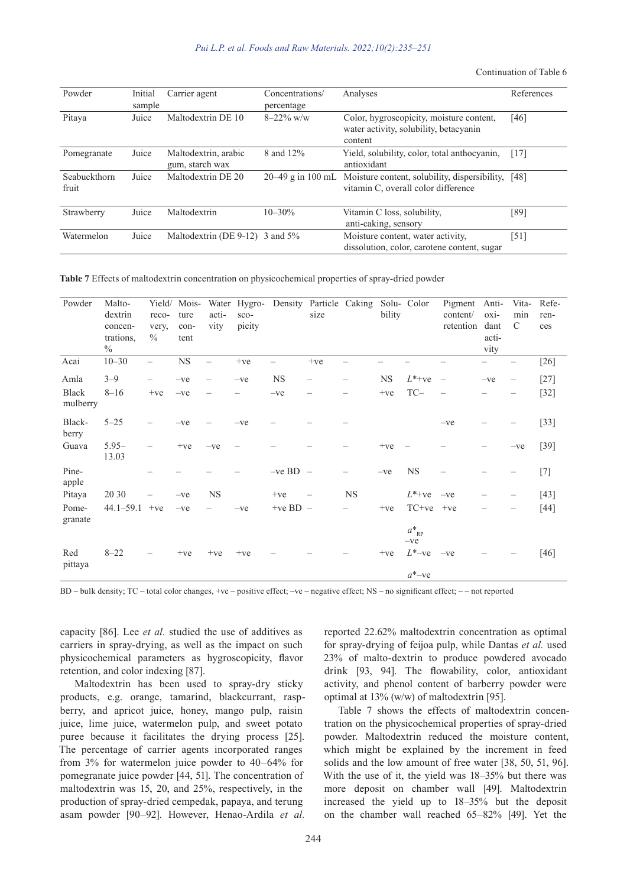Continuation of Table 6

| Powder                | Initial<br>sample | Carrier agent                           | Concentrations/<br>percentage | Analyses                                                                                      | References |
|-----------------------|-------------------|-----------------------------------------|-------------------------------|-----------------------------------------------------------------------------------------------|------------|
| Pitaya                | Juice             | Maltodextrin DE 10                      | $8-22\%$ w/w                  | Color, hygroscopicity, moisture content,<br>water activity, solubility, betacyanin<br>content | [46]       |
| Pomegranate           | Juice             | Maltodextrin, arabic<br>gum, starch wax | 8 and 12%                     | Yield, solubility, color, total anthocyanin,<br>antioxidant                                   | [17]       |
| Seabuckthorn<br>fruit | Juice             | Maltodextrin DE 20                      | $20-49$ g in 100 mL           | Moisture content, solubility, dispersibility,<br>vitamin C, overall color difference          | [48]       |
| Strawberry            | Juice             | Maltodextrin                            | $10 - 30%$                    | Vitamin C loss, solubility,<br>anti-caking, sensory                                           | [89]       |
| Watermelon            | Juice             | Maltodextrin (DE 9-12) 3 and $5\%$      |                               | Moisture content, water activity,<br>dissolution, color, carotene content, sugar              | [51]       |

**Table 7** Effects of maltodextrin concentration on physicochemical properties of spray-dried powder

| Powder                   | Malto-<br>dextrin<br>concen-<br>trations,<br>$\frac{0}{0}$ | Yield/<br>reco-<br>very,<br>$\frac{0}{0}$ | Mois-<br>ture<br>con-<br>tent | acti-<br>vity            | sco-<br>picity |            | Water Hygro- Density Particle Caking Solu- Color<br>size |           | bility    |                               | Pigment<br>content/<br>retention | Anti-<br>$oxi-$<br>dant<br>acti-<br>vity | Vita-<br>min<br>$\mathcal{C}$ | Refe-<br>ren-<br>ces |
|--------------------------|------------------------------------------------------------|-------------------------------------------|-------------------------------|--------------------------|----------------|------------|----------------------------------------------------------|-----------|-----------|-------------------------------|----------------------------------|------------------------------------------|-------------------------------|----------------------|
| Acai                     | $10 - 30$                                                  |                                           | $_{\rm NS}$                   | $\overline{\phantom{0}}$ | $+ve$          |            | $+ve$                                                    |           |           |                               |                                  |                                          |                               | $[26]$               |
| Amla                     | $3 - 9$                                                    | $\overline{\phantom{0}}$                  | $-ve$                         | $\qquad \qquad -$        | $-ve$          | <b>NS</b>  | $\overline{\phantom{0}}$                                 | —         | <b>NS</b> | $L^*$ +ve                     |                                  | $-ve$                                    | —                             | $[27]$               |
| <b>Black</b><br>mulberry | $8 - 16$                                                   | $+ve$                                     | $-ve$                         |                          |                | $-ve$      |                                                          |           | $+ve$     | $TC-$                         |                                  |                                          |                               | $[32]$               |
| Black-<br>berry          | $5 - 25$                                                   |                                           | $-ve$                         |                          | $-ve$          |            |                                                          |           |           |                               | $-ve$                            |                                          |                               | $[33]$               |
| Guava                    | $5.95 -$<br>13.03                                          |                                           | $+ve$                         | $-ve$                    |                |            |                                                          |           | $+ve$     |                               |                                  |                                          | $-ve$                         | $[39]$               |
| Pine-<br>apple           |                                                            |                                           |                               |                          |                | $-ve BD -$ |                                                          |           | $-ve$     | <b>NS</b>                     |                                  |                                          |                               | $[7]$                |
| Pitaya                   | 20 30                                                      |                                           | $-ve$                         | <b>NS</b>                |                | $+ve$      | $\overline{\phantom{m}}$                                 | <b>NS</b> |           | $L^*$ +ve                     | $-ve$                            |                                          |                               | $[43]$               |
| Pome-<br>granate         | $44.1 - 59.1$                                              | $+ve$                                     | $-ve$                         |                          | $-ve$          | +ve BD $-$ |                                                          |           | $+ve$     | $TC+ve$                       | $+ve$                            |                                          |                               | $[44]$               |
|                          |                                                            |                                           |                               |                          |                |            |                                                          |           |           | $a^*_{\mathbb{R} P}$<br>$-ve$ |                                  |                                          |                               |                      |
| Red<br>pittaya           | $8 - 22$                                                   |                                           | $+ve$                         | $+ve$                    | $+ve$          |            |                                                          |           | $+ve$     | $L^*$ -ve                     | $-ve$                            |                                          |                               | $[46]$               |
|                          |                                                            |                                           |                               |                          |                |            |                                                          |           |           | $a^*$ -ve                     |                                  |                                          |                               |                      |

BD – bulk density; TC – total color changes, +ve – positive effect; –ve – negative effect; NS – no significant effect; – – not reported

capacity [86]. Lee *et al.* studied the use of additives as carriers in spray-drying, as well as the impact on such physicochemical parameters as hygroscopicity, flavor retention, and color indexing [87].

Maltodextrin has been used to spray-dry sticky products, e.g. orange, tamarind, blackcurrant, raspberry, and apricot juice, honey, mango pulp, raisin juice, lime juice, watermelon pulp, and sweet potato puree because it facilitates the drying process [25]. The percentage of carrier agents incorporated ranges from 3% for watermelon juice powder to 40–64% for pomegranate juice powder [44, 51]. The concentration of maltodextrin was 15, 20, and 25%, respectively, in the production of spray-dried cempedak, papaya, and terung asam powder [90–92]. However, Henao-Ardila *et al.* reported 22.62% maltodextrin concentration as optimal for spray-drying of feijoa pulp, while Dantas *et al.* used 23% of malto-dextrin to produce powdered avocado drink [93, 94]. The flowability, color, antioxidant activity, and phenol content of barberry powder were optimal at 13% (w/w) of maltodextrin [95].

Table 7 shows the effects of maltodextrin concentration on the physicochemical properties of spray-dried powder. Maltodextrin reduced the moisture content, which might be explained by the increment in feed solids and the low amount of free water [38, 50, 51, 96]. With the use of it, the yield was 18–35% but there was more deposit on chamber wall [49]. Maltodextrin increased the yield up to 18–35% but the deposit on the chamber wall reached 65–82% [49]. Yet the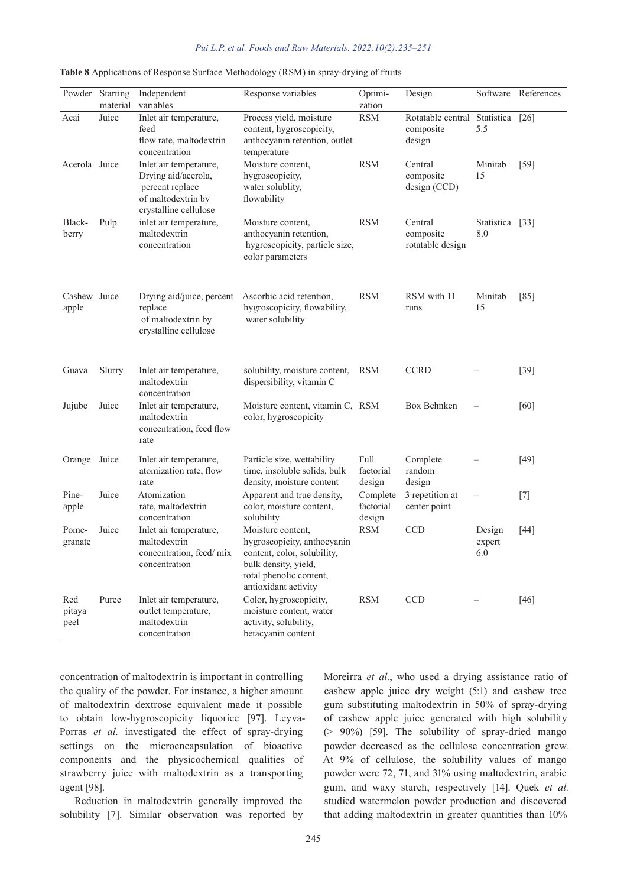|                       | Powder Starting<br>material | Independent<br>variables                                                                                        | Response variables                                                                                                                                         | Optimi-<br>zation               | Design                                              |                         | Software References |
|-----------------------|-----------------------------|-----------------------------------------------------------------------------------------------------------------|------------------------------------------------------------------------------------------------------------------------------------------------------------|---------------------------------|-----------------------------------------------------|-------------------------|---------------------|
| Acai                  | Juice                       | Inlet air temperature,<br>feed<br>flow rate, maltodextrin<br>concentration                                      | Process yield, moisture<br>content, hygroscopicity,<br>anthocyanin retention, outlet<br>temperature                                                        | <b>RSM</b>                      | Rotatable central Statistica<br>composite<br>design | 5.5                     | $[26]$              |
| Acerola Juice         |                             | Inlet air temperature,<br>Drying aid/acerola,<br>percent replace<br>of maltodextrin by<br>crystalline cellulose | Moisture content,<br>hygroscopicity,<br>water solublity,<br>flowability                                                                                    | <b>RSM</b>                      | Central<br>composite<br>design (CCD)                | Minitab<br>15           | $[59]$              |
| Black-<br>berry       | Pulp                        | inlet air temperature,<br>maltodextrin<br>concentration                                                         | Moisture content,<br>anthocyanin retention,<br>hygroscopicity, particle size,<br>color parameters                                                          | <b>RSM</b>                      | Central<br>composite<br>rotatable design            | Statistica [33]<br>8.0  |                     |
| Cashew Juice<br>apple |                             | Drying aid/juice, percent<br>replace<br>of maltodextrin by<br>crystalline cellulose                             | Ascorbic acid retention,<br>hygroscopicity, flowability,<br>water solubility                                                                               | <b>RSM</b>                      | RSM with 11<br>runs                                 | Minitab<br>15           | $[85]$              |
| Guava                 | Slurry                      | Inlet air temperature,<br>maltodextrin<br>concentration                                                         | solubility, moisture content,<br>dispersibility, vitamin C                                                                                                 | <b>RSM</b>                      | <b>CCRD</b>                                         |                         | $[39]$              |
| Jujube                | Juice                       | Inlet air temperature,<br>maltodextrin<br>concentration, feed flow<br>rate                                      | Moisture content, vitamin C, RSM<br>color, hygroscopicity                                                                                                  |                                 | Box Behnken                                         |                         | [60]                |
| Orange Juice          |                             | Inlet air temperature,<br>atomization rate, flow<br>rate                                                        | Particle size, wettability<br>time, insoluble solids, bulk<br>density, moisture content                                                                    | Full<br>factorial<br>design     | Complete<br>random<br>design                        |                         | $[49]$              |
| Pine-<br>apple        | Juice                       | Atomization<br>rate, maltodextrin<br>concentration                                                              | Apparent and true density,<br>color, moisture content,<br>solubility                                                                                       | Complete<br>factorial<br>design | 3 repetition at<br>center point                     | $\qquad \qquad -$       | $[7]$               |
| Pome-<br>granate      | Juice                       | Inlet air temperature,<br>maltodextrin<br>concentration, feed/mix<br>concentration                              | Moisture content,<br>hygroscopicity, anthocyanin<br>content, color, solubility,<br>bulk density, yield,<br>total phenolic content,<br>antioxidant activity | <b>RSM</b>                      | CCD                                                 | Design<br>expert<br>6.0 | $[44]$              |
| Red<br>pitaya<br>peel | Puree                       | Inlet air temperature,<br>outlet temperature,<br>maltodextrin<br>concentration                                  | Color, hygroscopicity,<br>moisture content, water<br>activity, solubility,<br>betacyanin content                                                           | <b>RSM</b>                      | CCD                                                 |                         | $[46]$              |

|  |  | Table 8 Applications of Response Surface Methodology (RSM) in spray-drying of fruits |  |  |
|--|--|--------------------------------------------------------------------------------------|--|--|
|  |  |                                                                                      |  |  |

concentration of maltodextrin is important in controlling the quality of the powder. For instance, a higher amount of maltodextrin dextrose equivalent made it possible to obtain low-hygroscopicity liquorice [97]. Leyva-Porras *et al.* investigated the effect of spray-drying settings on the microencapsulation of bioactive components and the physicochemical qualities of strawberry juice with maltodextrin as a transporting agent [98].

Reduction in maltodextrin generally improved the solubility [7]. Similar observation was reported by

Moreirra *et al.*, who used a drying assistance ratio of cashew apple juice dry weight (5:1) and cashew tree gum substituting maltodextrin in 50% of spray-drying of cashew apple juice generated with high solubility  $(> 90\%)$  [59]. The solubility of spray-dried mango powder decreased as the cellulose concentration grew. At 9% of cellulose, the solubility values of mango powder were 72, 71, and 31% using maltodextrin, arabic gum, and waxy starch, respectively [14]. Quek *et al.* studied watermelon powder production and discovered that adding maltodextrin in greater quantities than 10%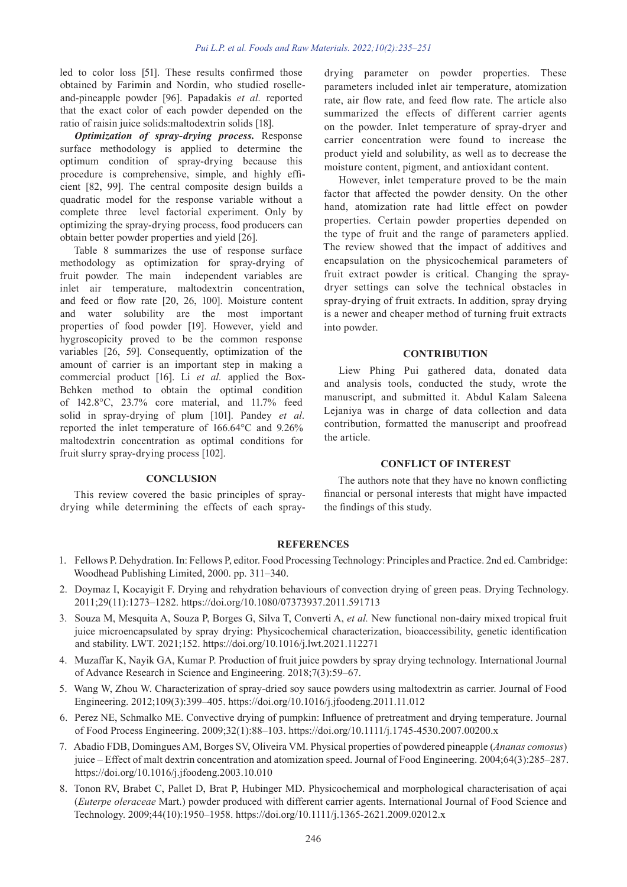led to color loss [51]. These results confirmed those obtained by Farimin and Nordin, who studied roselleand-pineapple powder [96]. Papadakis *et al.* reported that the exact color of each powder depended on the ratio of raisin juice solids:maltodextrin solids [18].

*Optimization of spray-drying process.* Response surface methodology is applied to determine the optimum condition of spray-drying because this procedure is comprehensive, simple, and highly efficient [82, 99]. The central composite design builds a quadratic model for the response variable without a complete three level factorial experiment. Only by optimizing the spray-drying process, food producers can obtain better powder properties and yield [26].

Table 8 summarizes the use of response surface methodology as optimization for spray-drying of fruit powder. The main independent variables are inlet air temperature, maltodextrin concentration, and feed or flow rate [20, 26, 100]. Moisture content and water solubility are the most important properties of food powder [19]. However, yield and hygroscopicity proved to be the common response variables [26, 59]. Consequently, optimization of the amount of carrier is an important step in making a commercial product [16]. Li *et al.* applied the Box-Behken method to obtain the optimal condition of 142.8°C, 23.7% core material, and 11.7% feed solid in spray-drying of plum [101]. Pandey *et al*. reported the inlet temperature of 166.64°C and 9.26% maltodextrin concentration as optimal conditions for fruit slurry spray-drying process [102].

**CONCLUSION**

This review covered the basic principles of spraydrying while determining the effects of each spraydrying parameter on powder properties. These parameters included inlet air temperature, atomization rate, air flow rate, and feed flow rate. The article also summarized the effects of different carrier agents on the powder. Inlet temperature of spray-dryer and carrier concentration were found to increase the product yield and solubility, as well as to decrease the moisture content, pigment, and antioxidant content.

However, inlet temperature proved to be the main factor that affected the powder density. On the other hand, atomization rate had little effect on powder properties. Certain powder properties depended on the type of fruit and the range of parameters applied. The review showed that the impact of additives and encapsulation on the physicochemical parameters of fruit extract powder is critical. Changing the spraydryer settings can solve the technical obstacles in spray-drying of fruit extracts. In addition, spray drying is a newer and cheaper method of turning fruit extracts into powder.

# **CONTRIBUTION**

Liew Phing Pui gathered data, donated data and analysis tools, conducted the study, wrote the manuscript, and submitted it. Abdul Kalam Saleena Lejaniya was in charge of data collection and data contribution, formatted the manuscript and proofread the article.

#### **CONFLICT OF INTEREST**

The authors note that they have no known conflicting financial or personal interests that might have impacted the findings of this study.

# **REFERENCES**

- 1. Fellows P. Dehydration. In: Fellows P, editor. Food Processing Technology: Principles and Practice. 2nd ed. Cambridge: Woodhead Publishing Limited, 2000. pp. 311–340.
- 2. Doymaz I, Kocayigit F. Drying and rehydration behaviours of convection drying of green peas. Drying Technology. 2011;29(11):1273–1282. https://doi.org/10.1080/07373937.2011.591713
- 3. Souza M, Mesquita A, Souza P, Borges G, Silva T, Converti A, *et al.* New functional non-dairy mixed tropical fruit juice microencapsulated by spray drying: Physicochemical characterization, bioaccessibility, genetic identification and stability. LWT. 2021;152. https://doi.org/10.1016/j.lwt.2021.112271
- 4. Muzaffar K, Nayik GA, Kumar P. Production of fruit juice powders by spray drying technology. International Journal of Advance Research in Science and Engineering. 2018;7(3):59–67.
- 5. Wang W, Zhou W. Characterization of spray-dried soy sauce powders using maltodextrin as carrier. Journal of Food Engineering. 2012;109(3):399–405. https://doi.org/10.1016/j.jfoodeng.2011.11.012
- 6. Perez NE, Schmalko ME. Convective drying of pumpkin: Influence of pretreatment and drying temperature. Journal of Food Process Engineering. 2009;32(1):88–103. https://doi.org/10.1111/j.1745-4530.2007.00200.x
- 7. Abadio FDB, Domingues AM, Borges SV, Oliveira VM. Physical properties of powdered pineapple (*Ananas comosus*) juice – Effect of malt dextrin concentration and atomization speed. Journal of Food Engineering. 2004;64(3):285–287. https://doi.org/10.1016/j.jfoodeng.2003.10.010
- 8. Tonon RV, Brabet C, Pallet D, Brat P, Hubinger MD. Physicochemical and morphological characterisation of açai (*Euterpe oleraceae* Mart.) powder produced with different carrier agents. International Journal of Food Science and Technology. 2009;44(10):1950–1958. https://doi.org/10.1111/j.1365-2621.2009.02012.x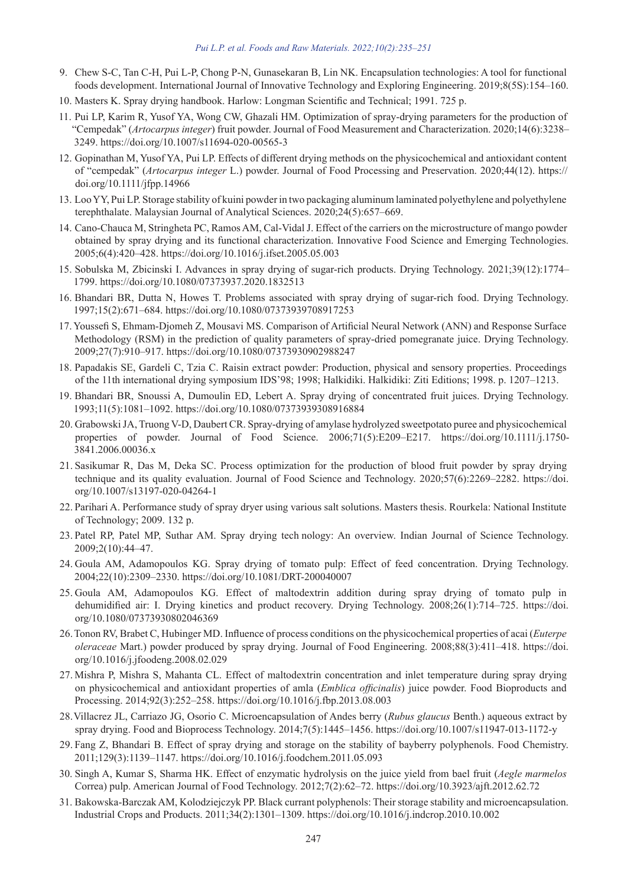- 9. Chew S-C, Tan C-H, Pui L-P, Chong P-N, Gunasekaran B, Lin NK. Encapsulation technologies: A tool for functional foods development. International Journal of Innovative Technology and Exploring Engineering. 2019;8(5S):154–160.
- 10. Masters K. Spray drying handbook. Harlow: Longman Scientific and Technical; 1991. 725 p.
- 11. Pui LP, Karim R, Yusof YA, Wong CW, Ghazali HM. Optimization of spray-drying parameters for the production of "Cempedak" (*Artocarpus integer*) fruit powder. Journal of Food Measurement and Characterization. 2020;14(6):3238– 3249. https://doi.org/10.1007/s11694-020-00565-3
- 12. Gopinathan M, Yusof YA, Pui LP. Effects of different drying methods on the physicochemical and antioxidant content of "cempedak" (*Artocarpus integer* L.) powder. Journal of Food Processing and Preservation. 2020;44(12). https:// doi.org/10.1111/jfpp.14966
- 13. Loo YY, Pui LP. Storage stability of kuini powder in two packaging aluminum laminated polyethylene and polyethylene terephthalate. Malaysian Journal of Analytical Sciences. 2020;24(5):657–669.
- 14. Cano-Chauca M, Stringheta PC, Ramos AM, Cal-Vidal J. Effect of the carriers on the microstructure of mango powder obtained by spray drying and its functional characterization. Innovative Food Science and Emerging Technologies. 2005;6(4):420–428. https://doi.org/10.1016/j.ifset.2005.05.003
- 15. Sobulska M, Zbicinski I. Advances in spray drying of sugar-rich products. Drying Technology. 2021;39(12):1774– 1799. https://doi.org/10.1080/07373937.2020.1832513
- 16. Bhandari BR, Dutta N, Howes T. Problems associated with spray drying of sugar-rich food. Drying Technology. 1997;15(2):671–684. https://doi.org/10.1080/07373939708917253
- 17.Youssefi S, Ehmam-Djomeh Z, Mousavi MS. Comparison of Artificial Neural Network (ANN) and Response Surface Methodology (RSM) in the prediction of quality parameters of spray-dried pomegranate juice. Drying Technology. 2009;27(7):910–917. https://doi.org/10.1080/07373930902988247
- 18. Papadakis SE, Gardeli C, Tzia C. Raisin extract powder: Production, physical and sensory properties. Proceedings of the 11th international drying symposium IDS'98; 1998; Halkidiki. Halkidiki: Ziti Editions; 1998. p. 1207–1213.
- 19. Bhandari BR, Snoussi A, Dumoulin ED, Lebert A. Spray drying of concentrated fruit juices. Drying Technology. 1993;11(5):1081–1092. https://doi.org/10.1080/07373939308916884
- 20. Grabowski JA, Truong V-D, Daubert CR. Spray-drying of amylase hydrolyzed sweetpotato puree and physicochemical properties of powder. Journal of Food Science. 2006;71(5):E209–E217. https://doi.org/10.1111/j.1750- 3841.2006.00036.x
- 21. Sasikumar R, Das M, Deka SC. Process optimization for the production of blood fruit powder by spray drying technique and its quality evaluation. Journal of Food Science and Technology. 2020;57(6):2269–2282. https://doi. org/10.1007/s13197-020-04264-1
- 22. Parihari A. Performance study of spray dryer using various salt solutions. Masters thesis. Rourkela: National Institute of Technology; 2009. 132 p.
- 23. Patel RP, Patel MP, Suthar AM. Spray drying tech nology: An overview. Indian Journal of Science Technology. 2009;2(10):44–47.
- 24. Goula AM, Adamopoulos KG. Spray drying of tomato pulp: Effect of feed concentration. Drying Technology. 2004;22(10):2309–2330. https://doi.org/10.1081/DRT-200040007
- 25. Goula AM, Adamopoulos KG. Effect of maltodextrin addition during spray drying of tomato pulp in dehumidified air: I. Drying kinetics and product recovery. Drying Technology. 2008;26(1):714–725. https://doi. org/10.1080/07373930802046369
- 26.Tonon RV, Brabet C, Hubinger MD. Influence of process conditions on the physicochemical properties of acai (*Euterpe oleraceae* Mart.) powder produced by spray drying. Journal of Food Engineering. 2008;88(3):411–418. https://doi. org/10.1016/j.jfoodeng.2008.02.029
- 27. Mishra P, Mishra S, Mahanta CL. Effect of maltodextrin concentration and inlet temperature during spray drying on physicochemical and antioxidant properties of amla (*Emblica officinalis*) juice powder. Food Bioproducts and Processing. 2014;92(3):252–258. https://doi.org/10.1016/j.fbp.2013.08.003
- 28.Villacrez JL, Carriazo JG, Osorio C. Microencapsulation of Andes berry (*Rubus glaucus* Benth.) aqueous extract by spray drying. Food and Bioprocess Technology. 2014;7(5):1445–1456. https://doi.org/10.1007/s11947-013-1172-y
- 29. Fang Z, Bhandari B. Effect of spray drying and storage on the stability of bayberry polyphenols. Food Chemistry. 2011;129(3):1139–1147. https://doi.org/10.1016/j.foodchem.2011.05.093
- 30. Singh A, Kumar S, Sharma HK. Effect of enzymatic hydrolysis on the juice yield from bael fruit (*Aegle marmelos*  Correa) pulp. American Journal of Food Technology. 2012;7(2):62–72. https://doi.org/10.3923/ajft.2012.62.72
- 31. Bakowska-Barczak AM, Kolodziejczyk PP. Black currant polyphenols: Their storage stability and microencapsulation. Industrial Crops and Products. 2011;34(2):1301–1309. https://doi.org/10.1016/j.indcrop.2010.10.002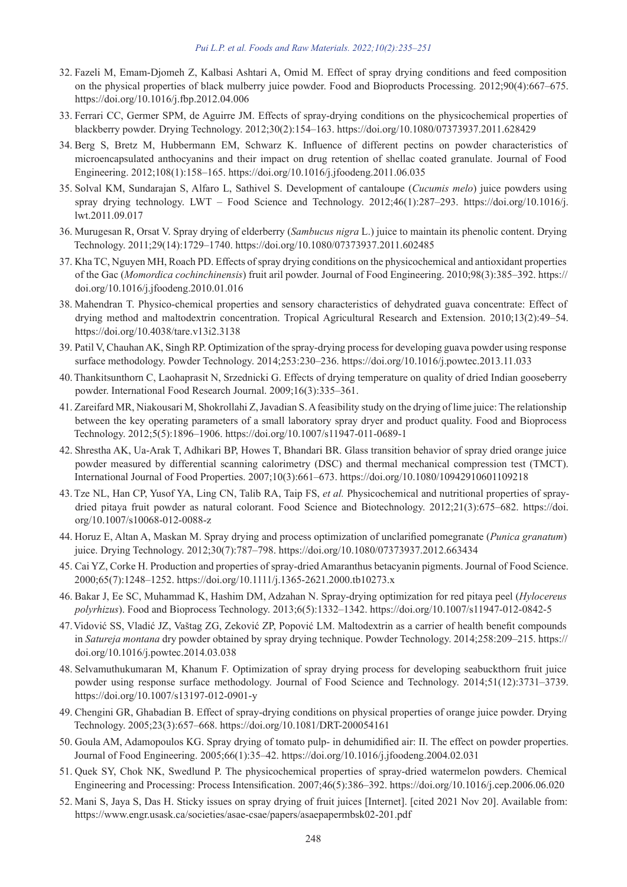- 32. Fazeli M, Emam-Djomeh Z, Kalbasi Ashtari A, Omid M. Effect of spray drying conditions and feed composition on the physical properties of black mulberry juice powder. Food and Bioproducts Processing. 2012;90(4):667–675. https://doi.org/10.1016/j.fbp.2012.04.006
- 33. Ferrari CC, Germer SPM, de Aguirre JM. Effects of spray-drying conditions on the physicochemical properties of blackberry powder. Drying Technology. 2012;30(2):154–163. https://doi.org/10.1080/07373937.2011.628429
- 34. Berg S, Bretz M, Hubbermann EM, Schwarz K. Influence of different pectins on powder characteristics of microencapsulated anthocyanins and their impact on drug retention of shellac coated granulate. Journal of Food Engineering. 2012;108(1):158–165. https://doi.org/10.1016/j.jfoodeng.2011.06.035
- 35. Solval KM, Sundarajan S, Alfaro L, Sathivel S. Development of cantaloupe (*Cucumis melo*) juice powders using spray drying technology. LWT – Food Science and Technology. 2012;46(1):287–293. https://doi.org/10.1016/j. lwt.2011.09.017
- 36. Murugesan R, Orsat V. Spray drying of elderberry (*Sambucus nigra* L.) juice to maintain its phenolic content. Drying Technology. 2011;29(14):1729–1740. https://doi.org/10.1080/07373937.2011.602485
- 37. Kha TC, Nguyen MH, Roach PD. Effects of spray drying conditions on the physicochemical and antioxidant properties of the Gac (*Momordica cochinchinensis*) fruit aril powder. Journal of Food Engineering. 2010;98(3):385–392. https:// doi.org/10.1016/j.jfoodeng.2010.01.016
- 38. Mahendran T. Physico-chemical properties and sensory characteristics of dehydrated guava concentrate: Effect of drying method and maltodextrin concentration. Tropical Agricultural Research and Extension. 2010;13(2):49–54. https://doi.org/10.4038/tare.v13i2.3138
- 39. Patil V, Chauhan AK, Singh RP. Optimization of the spray-drying process for developing guava powder using response surface methodology. Powder Technology. 2014;253:230–236. https://doi.org/10.1016/j.powtec.2013.11.033
- 40.Thankitsunthorn C, Laohaprasit N, Srzednicki G. Effects of drying temperature on quality of dried Indian gooseberry powder. International Food Research Journal. 2009;16(3):335–361.
- 41. Zareifard MR, Niakousari M, Shokrollahi Z, Javadian S. A feasibility study on the drying of lime juice: The relationship between the key operating parameters of a small laboratory spray dryer and product quality. Food and Bioprocess Technology. 2012;5(5):1896–1906. https://doi.org/10.1007/s11947-011-0689-1
- 42. Shrestha AK, Ua-Arak T, Adhikari BP, Howes T, Bhandari BR. Glass transition behavior of spray dried orange juice powder measured by differential scanning calorimetry (DSC) and thermal mechanical compression test (TMCT). International Journal of Food Properties. 2007;10(3):661–673. https://doi.org/10.1080/10942910601109218
- 43.Tze NL, Han CP, Yusof YA, Ling CN, Talib RA, Taip FS, *et al.* Physicochemical and nutritional properties of spraydried pitaya fruit powder as natural colorant. Food Science and Biotechnology. 2012;21(3):675–682. https://doi. org/10.1007/s10068-012-0088-z
- 44. Horuz E, Altan A, Maskan M. Spray drying and process optimization of unclarified pomegranate (*Punica granatum*) juice. Drying Technology. 2012;30(7):787–798. https://doi.org/10.1080/07373937.2012.663434
- 45. Cai YZ, Corke H. Production and properties of spray-dried Amaranthus betacyanin pigments. Journal of Food Science. 2000;65(7):1248–1252. https://doi.org/10.1111/j.1365-2621.2000.tb10273.x
- 46. Bakar J, Ee SC, Muhammad K, Hashim DM, Adzahan N. Spray-drying optimization for red pitaya peel (*Hylocereus polyrhizus*). Food and Bioprocess Technology. 2013;6(5):1332–1342. https://doi.org/10.1007/s11947-012-0842-5
- 47.Vidović SS, Vladić JZ, Vaštag ZG, Zeković ZP, Popović LM. Maltodextrin as a carrier of health benefit compounds in *Satureja montana* dry powder obtained by spray drying technique. Powder Technology. 2014;258:209–215. https:// doi.org/10.1016/j.powtec.2014.03.038
- 48. Selvamuthukumaran M, Khanum F. Optimization of spray drying process for developing seabuckthorn fruit juice powder using response surface methodology. Journal of Food Science and Technology. 2014;51(12):3731–3739. https://doi.org/10.1007/s13197-012-0901-y
- 49. Chengini GR, Ghabadian B. Effect of spray-drying conditions on physical properties of orange juice powder. Drying Technology. 2005;23(3):657–668. https://doi.org/10.1081/DRT-200054161
- 50. Goula AM, Adamopoulos KG. Spray drying of tomato pulp- in dehumidified air: II. The effect on powder properties. Journal of Food Engineering. 2005;66(1):35–42. https://doi.org/10.1016/j.jfoodeng.2004.02.031
- 51. Quek SY, Chok NK, Swedlund P. The physicochemical properties of spray-dried watermelon powders. Chemical Engineering and Processing: Process Intensification. 2007;46(5):386–392. https://doi.org/10.1016/j.cep.2006.06.020
- 52. Mani S, Jaya S, Das H. Sticky issues on spray drying of fruit juices [Internet]. [cited 2021 Nov 20]. Available from: https://www.engr.usask.ca/societies/asae-csae/papers/asaepapermbsk02-201.pdf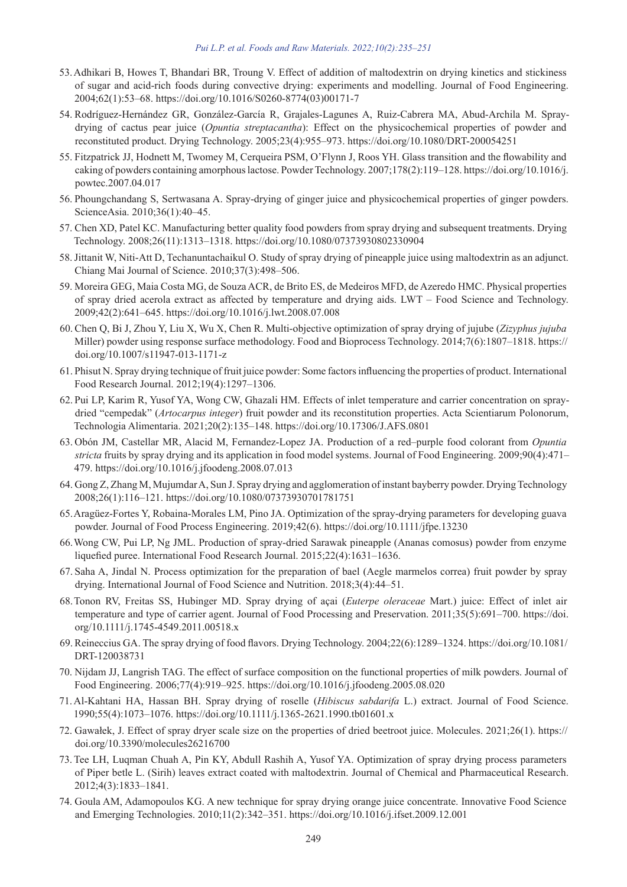- 53.Adhikari B, Howes T, Bhandari BR, Troung V. Effect of addition of maltodextrin on drying kinetics and stickiness of sugar and acid-rich foods during convective drying: experiments and modelling. Journal of Food Engineering. 2004;62(1):53–68. https://doi.org/10.1016/S0260-8774(03)00171-7
- 54. Rodríguez-Hernández GR, González-García R, Grajales-Lagunes A, Ruiz-Cabrera MA, Abud-Archila M. Spraydrying of cactus pear juice (*Opuntia streptacantha*): Effect on the physicochemical properties of powder and reconstituted product. Drying Technology. 2005;23(4):955–973. https://doi.org/10.1080/DRT-200054251
- 55. Fitzpatrick JJ, Hodnett M, Twomey M, Cerqueira PSM, O'Flynn J, Roos YH. Glass transition and the flowability and caking of powders containing amorphous lactose. Powder Technology. 2007;178(2):119–128. https://doi.org/10.1016/j. powtec.2007.04.017
- 56. Phoungchandang S, Sertwasana A. Spray-drying of ginger juice and physicochemical properties of ginger powders. ScienceAsia. 2010;36(1):40–45.
- 57. Chen XD, Patel KC. Manufacturing better quality food powders from spray drying and subsequent treatments. Drying Technology. 2008;26(11):1313–1318. https://doi.org/10.1080/07373930802330904
- 58.Jittanit W, Niti-Att D, Techanuntachaikul O. Study of spray drying of pineapple juice using maltodextrin as an adjunct. Chiang Mai Journal of Science. 2010;37(3):498–506.
- 59. Moreira GEG, Maia Costa MG, de Souza ACR, de Brito ES, de Medeiros MFD, de Azeredo HMC. Physical properties of spray dried acerola extract as affected by temperature and drying aids. LWT – Food Science and Technology. 2009;42(2):641–645. https://doi.org/10.1016/j.lwt.2008.07.008
- 60. Chen Q, Bi J, Zhou Y, Liu X, Wu X, Chen R. Multi-objective optimization of spray drying of jujube (*Zizyphus jujuba* Miller) powder using response surface methodology. Food and Bioprocess Technology. 2014;7(6):1807–1818. https:// doi.org/10.1007/s11947-013-1171-z
- 61. Phisut N. Spray drying technique of fruit juice powder: Some factors influencing the properties of product. International Food Research Journal. 2012;19(4):1297–1306.
- 62. Pui LP, Karim R, Yusof YA, Wong CW, Ghazali HM. Effects of inlet temperature and carrier concentration on spraydried "cempedak" (*Artocarpus integer*) fruit powder and its reconstitution properties. Acta Scientiarum Polonorum, Technologia Alimentaria. 2021;20(2):135–148. https://doi.org/10.17306/J.AFS.0801
- 63. Obón JM, Castellar MR, Alacid M, Fernandez-Lopez JA. Production of a red–purple food colorant from *Opuntia stricta* fruits by spray drying and its application in food model systems. Journal of Food Engineering. 2009;90(4):471– 479. https://doi.org/10.1016/j.jfoodeng.2008.07.013
- 64. Gong Z, Zhang M, Mujumdar A, Sun J. Spray drying and agglomeration of instant bayberry powder. Drying Technology 2008;26(1):116–121. https://doi.org/10.1080/07373930701781751
- 65.Aragüez-Fortes Y, Robaina-Morales LM, Pino JA. Optimization of the spray-drying parameters for developing guava powder. Journal of Food Process Engineering. 2019;42(6). https://doi.org/10.1111/jfpe.13230
- 66.Wong CW, Pui LP, Ng JML. Production of spray-dried Sarawak pineapple (Ananas comosus) powder from enzyme liquefied puree. International Food Research Journal. 2015;22(4):1631–1636.
- 67. Saha A, Jindal N. Process optimization for the preparation of bael (Aegle marmelos correa) fruit powder by spray drying. International Journal of Food Science and Nutrition. 2018;3(4):44–51.
- 68.Tonon RV, Freitas SS, Hubinger MD. Spray drying of açai (*Euterpe oleraceae* Mart.) juice: Effect of inlet air temperature and type of carrier agent. Journal of Food Processing and Preservation. 2011;35(5):691–700. https://doi. org/10.1111/j.1745-4549.2011.00518.x
- 69.Reineccius GA. The spray drying of food flavors. Drying Technology. 2004;22(6):1289–1324. https://doi.org/10.1081/ DRT-120038731
- 70. Nijdam JJ, Langrish TAG. The effect of surface composition on the functional properties of milk powders. Journal of Food Engineering. 2006;77(4):919–925. https://doi.org/10.1016/j.jfoodeng.2005.08.020
- 71.Al-Kahtani HA, Hassan BH. Spray drying of roselle (*Hibiscus sabdarifa* L.) extract. Journal of Food Science. 1990;55(4):1073–1076. https://doi.org/10.1111/j.1365-2621.1990.tb01601.x
- 72. Gawałek, J. Effect of spray dryer scale size on the properties of dried beetroot juice. Molecules. 2021;26(1). https:// doi.org/10.3390/molecules26216700
- 73. Tee LH, Luqman Chuah A, Pin KY, Abdull Rashih A, Yusof YA. Optimization of spray drying process parameters of Piper betle L. (Sirih) leaves extract coated with maltodextrin. Journal of Chemical and Pharmaceutical Research. 2012;4(3):1833–1841.
- 74. Goula AM, Adamopoulos KG. A new technique for spray drying orange juice concentrate. Innovative Food Science and Emerging Technologies. 2010;11(2):342–351. https://doi.org/10.1016/j.ifset.2009.12.001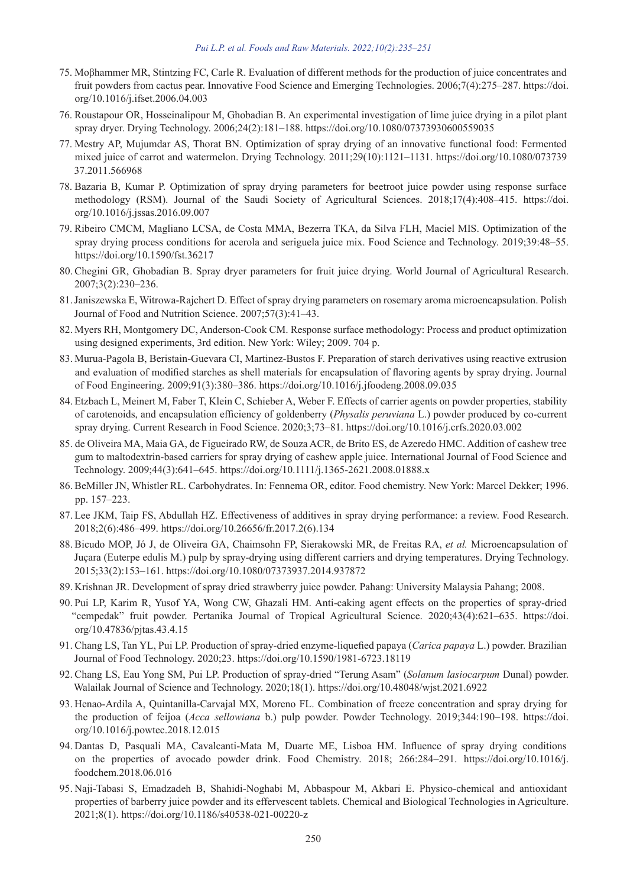- 75. Moβhammer MR, Stintzing FC, Carle R. Evaluation of different methods for the production of juice concentrates and fruit powders from cactus pear. Innovative Food Science and Emerging Technologies. 2006;7(4):275–287. https://doi. org/10.1016/j.ifset.2006.04.003
- 76. Roustapour OR, Hosseinalipour M, Ghobadian B. An experimental investigation of lime juice drying in a pilot plant spray dryer. Drying Technology. 2006;24(2):181–188. https://doi.org/10.1080/07373930600559035
- 77. Mestry AP, Mujumdar AS, Thorat BN. Optimization of spray drying of an innovative functional food: Fermented mixed juice of carrot and watermelon. Drying Technology. 2011;29(10):1121–1131. https://doi.org/10.1080/073739 37.2011.566968
- 78. Bazaria B, Kumar P. Optimization of spray drying parameters for beetroot juice powder using response surface methodology (RSM). Journal of the Saudi Society of Agricultural Sciences. 2018;17(4):408–415. https://doi. org/10.1016/j.jssas.2016.09.007
- 79. Ribeiro CMCM, Magliano LCSA, de Costa MMA, Bezerra TKA, da Silva FLH, Maciel MIS. Optimization of the spray drying process conditions for acerola and seriguela juice mix. Food Science and Technology. 2019;39:48–55. https://doi.org/10.1590/fst.36217
- 80. Chegini GR, Ghobadian B. Spray dryer parameters for fruit juice drying. World Journal of Agricultural Research. 2007;3(2):230–236.
- 81.Janiszewska E, Witrowa-Rajchert D. Effect of spray drying parameters on rosemary aroma microencapsulation. Polish Journal of Food and Nutrition Science. 2007;57(3):41–43.
- 82. Myers RH, Montgomery DC, Anderson-Cook CM. Response surface methodology: Process and product optimization using designed experiments, 3rd edition. New York: Wiley; 2009. 704 p.
- 83. Murua-Pagola B, Beristain-Guevara CI, Martinez-Bustos F. Preparation of starch derivatives using reactive extrusion and evaluation of modified starches as shell materials for encapsulation of flavoring agents by spray drying. Journal of Food Engineering. 2009;91(3):380–386. https://doi.org/10.1016/j.jfoodeng.2008.09.035
- 84. Etzbach L, Meinert M, Faber T, Klein C, Schieber A, Weber F. Effects of carrier agents on powder properties, stability of carotenoids, and encapsulation efficiency of goldenberry (*Physalis peruviana* L.) powder produced by co-current spray drying. Current Research in Food Science. 2020;3;73–81. https://doi.org/10.1016/j.crfs.2020.03.002
- 85. de Oliveira MA, Maia GA, de Figueirado RW, de Souza ACR, de Brito ES, de Azeredo HMC. Addition of cashew tree gum to maltodextrin-based carriers for spray drying of cashew apple juice. International Journal of Food Science and Technology. 2009;44(3):641–645. https://doi.org/10.1111/j.1365-2621.2008.01888.x
- 86.BeMiller JN, Whistler RL. Carbohydrates. In: Fennema OR, editor. Food chemistry. New York: Marcel Dekker; 1996. pp. 157–223.
- 87. Lee JKM, Taip FS, Abdullah HZ. Effectiveness of additives in spray drying performance: a review. Food Research. 2018;2(6):486–499. https://doi.org/10.26656/fr.2017.2(6).134
- 88.Bicudo MOP, Jó J, de Oliveira GA, Chaimsohn FP, Sierakowski MR, de Freitas RA, *et al.* Microencapsulation of Juçara (Euterpe edulis M.) pulp by spray-drying using different carriers and drying temperatures. Drying Technology. 2015;33(2):153–161. https://doi.org/10.1080/07373937.2014.937872
- 89. Krishnan JR. Development of spray dried strawberry juice powder. Pahang: University Malaysia Pahang; 2008.
- 90. Pui LP, Karim R, Yusof YA, Wong CW, Ghazali HM. Anti-caking agent effects on the properties of spray-dried "cempedak" fruit powder. Pertanika Journal of Tropical Agricultural Science. 2020;43(4):621–635. https://doi. org/10.47836/pjtas.43.4.15
- 91. Chang LS, Tan YL, Pui LP. Production of spray-dried enzyme-liquefied papaya (*Carica papaya* L.) powder. Brazilian Journal of Food Technology. 2020;23. https://doi.org/10.1590/1981-6723.18119
- 92. Chang LS, Eau Yong SM, Pui LP. Production of spray-dried "Terung Asam" (*Solanum lasiocarpum* Dunal) powder. Walailak Journal of Science and Technology. 2020;18(1). https://doi.org/10.48048/wjst.2021.6922
- 93. Henao-Ardila A, Quintanilla-Carvajal MX, Moreno FL. Combination of freeze concentration and spray drying for the production of feijoa (*Acca sellowiana* b.) pulp powder. Powder Technology. 2019;344:190–198. https://doi. org/10.1016/j.powtec.2018.12.015
- 94. Dantas D, Pasquali MA, Cavalcanti-Mata M, Duarte ME, Lisboa HM. Influence of spray drying conditions on the properties of avocado powder drink. Food Chemistry. 2018; 266:284–291. https://doi.org/10.1016/j. foodchem.2018.06.016
- 95. Naji-Tabasi S, Emadzadeh B, Shahidi-Noghabi M, Abbaspour M, Akbari E. Physico-chemical and antioxidant properties of barberry juice powder and its effervescent tablets. Chemical and Biological Technologies in Agriculture. 2021;8(1). https://doi.org/10.1186/s40538-021-00220-z